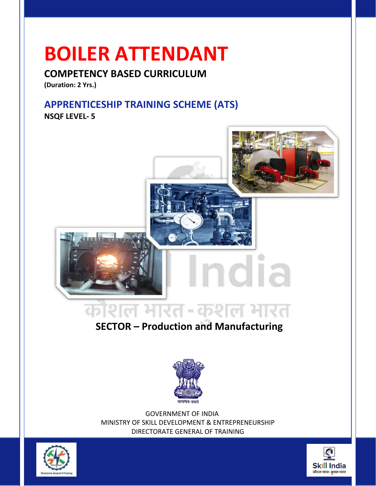### **BOILER ATTENDANT**

#### **COMPETENCY BASED CURRICULUM**

**(Duration: 2 Yrs.)**

#### **APPRENTICESHIP TRAINING SCHEME (ATS)**

**NSQF LEVEL- 5**



### **SECTOR – Production and Manufacturing**



 GOVERNMENT OF INDIA MINISTRY OF SKILL DEVELOPMENT & ENTREPRENEURSHIP DIRECTORATE GENERAL OF TRAINING



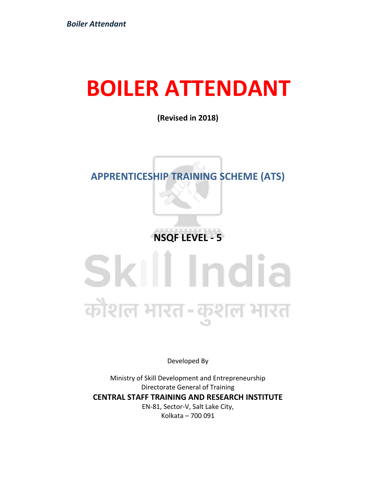### **BOILER ATTENDANT**

**(Revised in 2018)**

#### **APPRENTICESHIP TRAINING SCHEME (ATS)**

**NSQF LEVEL - 5**

### Skill India कौशल भारत-कुशल भारत

Developed By

Ministry of Skill Development and Entrepreneurship Directorate General of Training **CENTRAL STAFF TRAINING AND RESEARCH INSTITUTE** EN-81, Sector-V, Salt Lake City, Kolkata – 700 091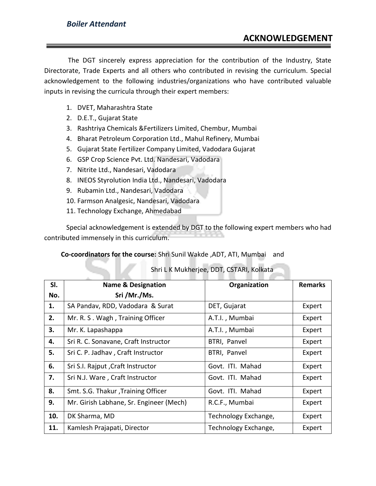The DGT sincerely express appreciation for the contribution of the Industry, State Directorate, Trade Experts and all others who contributed in revising the curriculum. Special acknowledgement to the following industries/organizations who have contributed valuable inputs in revising the curricula through their expert members:

- 1. DVET, Maharashtra State
- 2. D.E.T., Gujarat State
- 3. Rashtriya Chemicals &Fertilizers Limited, Chembur, Mumbai
- 4. Bharat Petroleum Corporation Ltd., Mahul Refinery, Mumbai
- 5. Gujarat State Fertilizer Company Limited, Vadodara Gujarat
- 6. GSP Crop Science Pvt. Ltd. Nandesari, Vadodara
- 7. Nitrite Ltd., Nandesari, Vadodara
- 8. INEOS Styrolution India Ltd., Nandesari, Vadodara
- 9. Rubamin Ltd., Nandesari, Vadodara
- 10. Farmson Analgesic, Nandesari, Vadodara
- 11. Technology Exchange, Ahmedabad

Special acknowledgement is extended by DGT to the following expert members who had contributed immensely in this curriculum.

 **Co-coordinators for the course:** Shri Sunil Wakde ,ADT, ATI, Mumbai and

#### Shri L K Mukherjee, DDT, CSTARI, Kolkata

| SI. | <b>Name &amp; Designation</b>           | Organization         | <b>Remarks</b> |
|-----|-----------------------------------------|----------------------|----------------|
| No. | Sri /Mr./Ms.                            |                      |                |
| 1.  | SA Pandav, RDD, Vadodara & Surat        | DET, Gujarat         | Expert         |
| 2.  | Mr. R. S. Wagh, Training Officer        | A.T.I., Mumbai       | Expert         |
| 3.  | Mr. K. Lapashappa                       | A.T.I., Mumbai       | Expert         |
| 4.  | Sri R. C. Sonavane, Craft Instructor    | BTRI, Panvel         | Expert         |
| 5.  | Sri C. P. Jadhav, Craft Instructor      | BTRI, Panvel         | Expert         |
| 6.  | Sri S.I. Rajput, Craft Instructor       | Govt. ITI. Mahad     | Expert         |
| 7.  | Sri N.J. Ware, Craft Instructor         | Govt. ITI. Mahad     | Expert         |
| 8.  | Smt. S.G. Thakur, Training Officer      | Govt. ITI. Mahad     | Expert         |
| 9.  | Mr. Girish Labhane, Sr. Engineer (Mech) | R.C.F., Mumbai       | Expert         |
| 10. | DK Sharma, MD                           | Technology Exchange, | Expert         |
| 11. | Kamlesh Prajapati, Director             | Technology Exchange, | Expert         |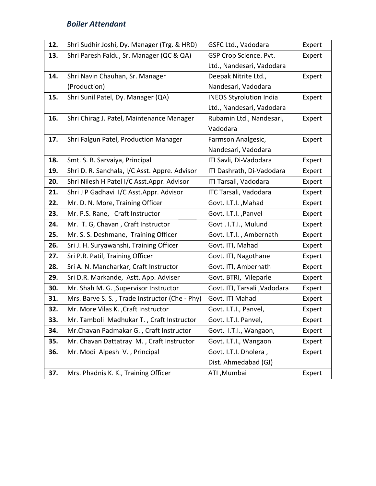| 12. | Shri Sudhir Joshi, Dy. Manager (Trg. & HRD)    | GSFC Ltd., Vadodara            | Expert |
|-----|------------------------------------------------|--------------------------------|--------|
| 13. | Shri Paresh Faldu, Sr. Manager (QC & QA)       | GSP Crop Science. Pvt.         | Expert |
|     |                                                | Ltd., Nandesari, Vadodara      |        |
| 14. | Shri Navin Chauhan, Sr. Manager                | Deepak Nitrite Ltd.,           | Expert |
|     | (Production)                                   | Nandesari, Vadodara            |        |
| 15. | Shri Sunil Patel, Dy. Manager (QA)             | <b>INEOS Styrolution India</b> | Expert |
|     |                                                | Ltd., Nandesari, Vadodara      |        |
| 16. | Shri Chirag J. Patel, Maintenance Manager      | Rubamin Ltd., Nandesari,       | Expert |
|     |                                                | Vadodara                       |        |
| 17. | Shri Falgun Patel, Production Manager          | Farmson Analgesic,             | Expert |
|     |                                                | Nandesari, Vadodara            |        |
| 18. | Smt. S. B. Sarvaiya, Principal                 | ITI Savli, Di-Vadodara         | Expert |
| 19. | Shri D. R. Sanchala, I/C Asst. Appre. Advisor  | ITI Dashrath, Di-Vadodara      | Expert |
| 20. | Shri Nilesh H Patel I/C Asst.Appr. Advisor     | ITI Tarsali, Vadodara          | Expert |
| 21. | Shri J P Gadhavi I/C Asst.Appr. Advisor        | ITC Tarsali, Vadodara          | Expert |
| 22. | Mr. D. N. More, Training Officer               | Govt. I.T.I., Mahad            | Expert |
| 23. | Mr. P.S. Rane, Craft Instructor                | Govt. I.T.I., Panvel           | Expert |
| 24. | Mr. T. G, Chavan, Craft Instructor             | Govt . I.T.I., Mulund          | Expert |
| 25. | Mr. S. S. Deshmane, Training Officer           | Govt. I.T.I., Ambernath        | Expert |
| 26. | Sri J. H. Suryawanshi, Training Officer        | Govt. ITI, Mahad               | Expert |
| 27. | Sri P.R. Patil, Training Officer               | Govt. ITI, Nagothane           | Expert |
| 28. | Sri A. N. Mancharkar, Craft Instructor         | Govt. ITI, Ambernath           | Expert |
| 29. | Sri D.R. Markande, Astt. App. Adviser          | Govt. BTRI, Vileparle          | Expert |
| 30. | Mr. Shah M. G. , Supervisor Instructor         | Govt. ITI, Tarsali , Vadodara  | Expert |
| 31. | Mrs. Barve S. S., Trade Instructor (Che - Phy) | Govt. ITI Mahad                | Expert |
| 32. | Mr. More Vilas K., Craft Instructor            | Govt. I.T.I., Panvel,          | Expert |
| 33. | Mr. Tamboli Madhukar T., Craft Instructor      | Govt. I.T.I. Panvel,           | Expert |
| 34. | Mr.Chavan Padmakar G., Craft Instructor        | Govt. I.T.I., Wangaon,         | Expert |
| 35. | Mr. Chavan Dattatray M., Craft Instructor      | Govt. I.T.I., Wangaon          | Expert |
| 36. | Mr. Modi Alpesh V., Principal                  | Govt. I.T.I. Dholera,          | Expert |
|     |                                                | Dist. Ahmedabad (GJ)           |        |
| 37. | Mrs. Phadnis K. K., Training Officer           | ATI, Mumbai                    | Expert |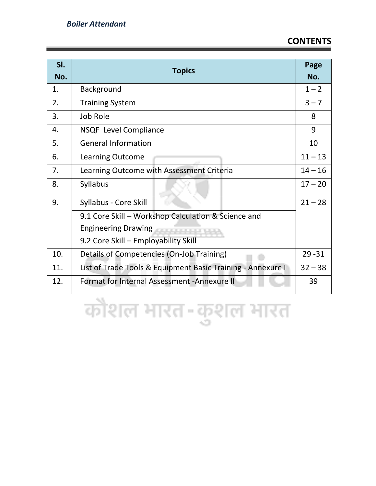#### **CONTENTS**

| SI.<br>No. | <b>Topics</b>                                               | Page<br>No. |  |
|------------|-------------------------------------------------------------|-------------|--|
| 1.         | <b>Background</b>                                           | $1 - 2$     |  |
| 2.         | <b>Training System</b>                                      | $3 - 7$     |  |
| 3.         | Job Role                                                    | 8           |  |
| 4.         | NSQF Level Compliance                                       | 9           |  |
| 5.         | <b>General Information</b>                                  | 10          |  |
| 6.         | <b>Learning Outcome</b>                                     | $11 - 13$   |  |
| 7.         | Learning Outcome with Assessment Criteria                   | $14 - 16$   |  |
| 8.         | <b>Syllabus</b>                                             | $17 - 20$   |  |
| 9.         | Syllabus - Core Skill                                       | $21 - 28$   |  |
|            | 9.1 Core Skill - Workshop Calculation & Science and         |             |  |
|            | Engineering Drawing                                         |             |  |
|            | 9.2 Core Skill - Employability Skill                        |             |  |
| 10.        | Details of Competencies (On-Job Training)                   | $29 - 31$   |  |
| 11.        | List of Trade Tools & Equipment Basic Training - Annexure I | $32 - 38$   |  |
| 12.        | Format for Internal Assessment - Annexure II                | 39          |  |

कोशल भारत-कुशल भारत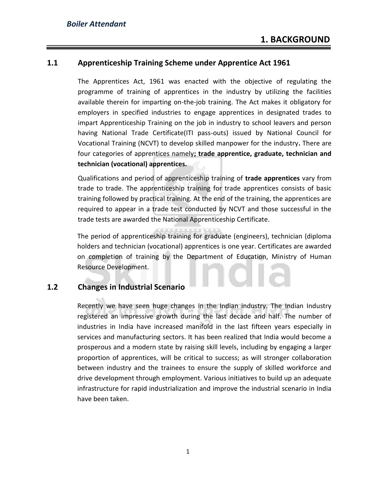#### **1.1 Apprenticeship Training Scheme under Apprentice Act 1961**

The Apprentices Act, 1961 was enacted with the objective of regulating the programme of training of apprentices in the industry by utilizing the facilities available therein for imparting on-the-job training. The Act makes it obligatory for employers in specified industries to engage apprentices in designated trades to impart Apprenticeship Training on the job in industry to school leavers and person having National Trade Certificate(ITI pass-outs) issued by National Council for Vocational Training (NCVT) to develop skilled manpower for the industry**.** There are four categories of apprentices namely**; trade apprentice, graduate, technician and technician (vocational) apprentices.** 

Qualifications and period of apprenticeship training of **trade apprentices** vary from trade to trade. The apprenticeship training for trade apprentices consists of basic training followed by practical training. At the end of the training, the apprentices are required to appear in a trade test conducted by NCVT and those successful in the trade tests are awarded the National Apprenticeship Certificate.

The period of apprenticeship training for graduate (engineers), technician (diploma holders and technician (vocational) apprentices is one year. Certificates are awarded on completion of training by the Department of Education, Ministry of Human Resource Development.

#### **1.2 Changes in Industrial Scenario**

Recently we have seen huge changes in the Indian industry. The Indian Industry registered an impressive growth during the last decade and half. The number of industries in India have increased manifold in the last fifteen years especially in services and manufacturing sectors. It has been realized that India would become a prosperous and a modern state by raising skill levels, including by engaging a larger proportion of apprentices, will be critical to success; as will stronger collaboration between industry and the trainees to ensure the supply of skilled workforce and drive development through employment. Various initiatives to build up an adequate infrastructure for rapid industrialization and improve the industrial scenario in India have been taken.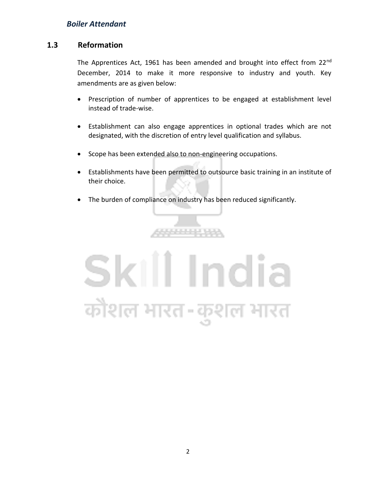#### **1.3 Reformation**

The Apprentices Act, 1961 has been amended and brought into effect from 22<sup>nd</sup> December, 2014 to make it more responsive to industry and youth. Key amendments are as given below:

- Prescription of number of apprentices to be engaged at establishment level instead of trade-wise.
- Establishment can also engage apprentices in optional trades which are not designated, with the discretion of entry level qualification and syllabus.
- Scope has been extended also to non-engineering occupations.
- Establishments have been permitted to outsource basic training in an institute of their choice.
- The burden of compliance on industry has been reduced significantly.

,,,,,,,,,,,

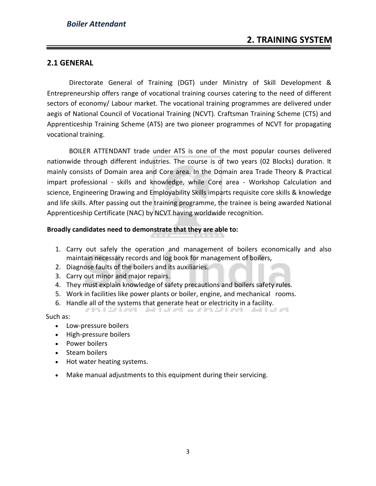#### **2.1 GENERAL**

Directorate General of Training (DGT) under Ministry of Skill Development & Entrepreneurship offers range of vocational training courses catering to the need of different sectors of economy/ Labour market. The vocational training programmes are delivered under aegis of National Council of Vocational Training (NCVT). Craftsman Training Scheme (CTS) and Apprenticeship Training Scheme (ATS) are two pioneer programmes of NCVT for propagating vocational training.

BOILER ATTENDANT trade under ATS is one of the most popular courses delivered nationwide through different industries. The course is of two years (02 Blocks) duration. It mainly consists of Domain area and Core area. In the Domain area Trade Theory & Practical impart professional - skills and knowledge, while Core area - Workshop Calculation and science, Engineering Drawing and Employability Skills imparts requisite core skills & knowledge and life skills. After passing out the training programme, the trainee is being awarded National Apprenticeship Certificate (NAC) by NCVT having worldwide recognition.

#### **Broadly candidates need to demonstrate that they are able to:**

- 1. Carry out safely the operation and management of boilers economically and also maintain necessary records and log book for management of boilers,
- 2. Diagnose faults of the boilers and its auxiliaries.
- 3. Carry out minor and major repairs.
- 4. They must explain knowledge of safety precautions and boilers safety rules.
- 5. Work in facilities like power plants or boiler, engine, and mechanical rooms.
- 6. Handle all of the systems that generate heat or electricity in a facility.

Such as:

- Low-pressure boilers
- High-pressure boilers
- Power boilers
- Steam boilers
- Hot water heating systems.
- Make manual adjustments to this equipment during their servicing.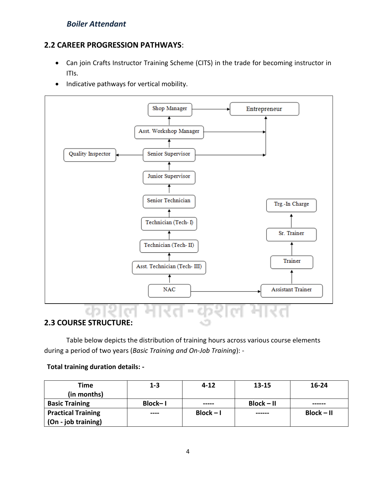#### **2.2 CAREER PROGRESSION PATHWAYS**:

- Can join Crafts Instructor Training Scheme (CITS) in the trade for becoming instructor in ITIs.
- Indicative pathways for vertical mobility.



#### **2.3 COURSE STRUCTURE:**

Table below depicts the distribution of training hours across various course elements during a period of two years (*Basic Training and On-Job Training*): -

#### **Total training duration details: -**

| Time                      | $1 - 3$ | $4 - 12$    | 13-15        | $16 - 24$    |
|---------------------------|---------|-------------|--------------|--------------|
| (in months)               |         |             |              |              |
| <b>Basic Training</b>     | Block-I | -----       | $Block - II$ | ------       |
| <b>Practical Training</b> | ----    | $Block - I$ | ------       | $Block - II$ |
| (On - job training)       |         |             |              |              |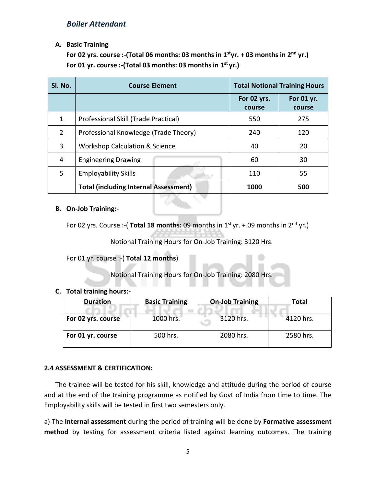#### **A. Basic Training**

**For 02 yrs. course :-(Total 06 months: 03 months in 1styr. + 03 months in 2nd yr.) For 01 yr. course :-(Total 03 months: 03 months in 1st yr.)** 

| SI. No. | <b>Course Element</b>                        |                       | <b>Total Notional Training Hours</b> |
|---------|----------------------------------------------|-----------------------|--------------------------------------|
|         |                                              | For 02 yrs.<br>course | For 01 yr.<br>course                 |
| 1       | Professional Skill (Trade Practical)         | 550                   | 275                                  |
| 2       | Professional Knowledge (Trade Theory)        | 240                   | 120                                  |
| 3       | <b>Workshop Calculation &amp; Science</b>    | 40                    | 20                                   |
| 4       | <b>Engineering Drawing</b>                   | 60                    | 30                                   |
| 5       | <b>Employability Skills</b>                  | 110                   | 55                                   |
|         | <b>Total (including Internal Assessment)</b> | 1000                  | 500                                  |

#### **B. On-Job Training:-**

For 02 yrs. Course :-( **Total 18 months:** 09 months in 1<sup>st</sup> yr. + 09 months in 2<sup>nd</sup> yr.)

Notional Training Hours for On-Job Training: 3120 Hrs.

#### For 01 yr. course :-( **Total 12 months**)

Notional Training Hours for On-Job Training: 2080 Hrs.

#### **C. Total training hours:-**

| <b>Duration</b>                 | <b>Basic Training</b> | <b>On-Job Training</b> | Total     |
|---------------------------------|-----------------------|------------------------|-----------|
| 1000 hrs.<br>For 02 yrs. course |                       | 3120 hrs.              | 4120 hrs. |
| For 01 yr. course               | 500 hrs.              | 2080 hrs.              | 2580 hrs. |

#### **2.4 ASSESSMENT & CERTIFICATION:**

The trainee will be tested for his skill, knowledge and attitude during the period of course and at the end of the training programme as notified by Govt of India from time to time. The Employability skills will be tested in first two semesters only.

a) The **Internal assessment** during the period of training will be done by **Formative assessment method** by testing for assessment criteria listed against learning outcomes. The training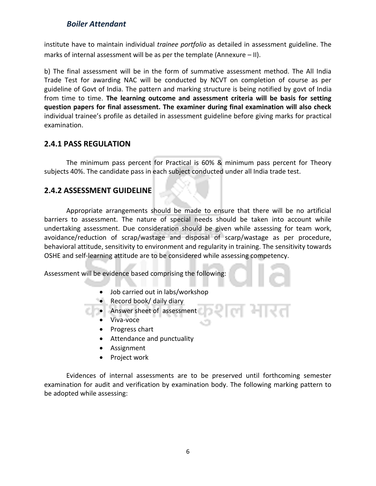institute have to maintain individual *trainee portfolio* as detailed in assessment guideline. The marks of internal assessment will be as per the template (Annexure – II).

b) The final assessment will be in the form of summative assessment method. The All India Trade Test for awarding NAC will be conducted by NCVT on completion of course as per guideline of Govt of India. The pattern and marking structure is being notified by govt of India from time to time. **The learning outcome and assessment criteria will be basis for setting question papers for final assessment. The examiner during final examination will also check**  individual trainee's profile as detailed in assessment guideline before giving marks for practical examination.

#### **2.4.1 PASS REGULATION**

The minimum pass percent for Practical is 60% & minimum pass percent for Theory subjects 40%. The candidate pass in each subject conducted under all India trade test.

#### **2.4.2 ASSESSMENT GUIDELINE**

Appropriate arrangements should be made to ensure that there will be no artificial barriers to assessment. The nature of special needs should be taken into account while undertaking assessment. Due consideration should be given while assessing for team work, avoidance/reduction of scrap/wastage and disposal of scarp/wastage as per procedure, behavioral attitude, sensitivity to environment and regularity in training. The sensitivity towards OSHE and self-learning attitude are to be considered while assessing competency.

Assessment will be evidence based comprising the following:

- Job carried out in labs/workshop
- Record book/ daily diary

• Answer sheet of assessment

- Viva-voce
- Progress chart
- Attendance and punctuality
- Assignment
- Project work

Evidences of internal assessments are to be preserved until forthcoming semester examination for audit and verification by examination body. The following marking pattern to be adopted while assessing: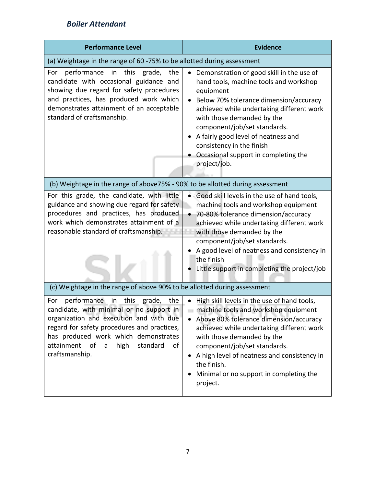| <b>Performance Level</b>                                                                                                                                                                                                                                                                                        | <b>Evidence</b>                                                                                                                                                                                                                                                                                                                                                                                |
|-----------------------------------------------------------------------------------------------------------------------------------------------------------------------------------------------------------------------------------------------------------------------------------------------------------------|------------------------------------------------------------------------------------------------------------------------------------------------------------------------------------------------------------------------------------------------------------------------------------------------------------------------------------------------------------------------------------------------|
| (a) Weightage in the range of 60 -75% to be allotted during assessment                                                                                                                                                                                                                                          |                                                                                                                                                                                                                                                                                                                                                                                                |
| performance in this grade, the<br>For<br>candidate with occasional guidance and<br>showing due regard for safety procedures<br>and practices, has produced work which<br>demonstrates attainment of an acceptable<br>standard of craftsmanship.                                                                 | Demonstration of good skill in the use of<br>$\bullet$<br>hand tools, machine tools and workshop<br>equipment<br>Below 70% tolerance dimension/accuracy<br>achieved while undertaking different work<br>with those demanded by the<br>component/job/set standards.<br>A fairly good level of neatness and<br>consistency in the finish<br>Occasional support in completing the<br>project/job. |
| (b) Weightage in the range of above75% - 90% to be allotted during assessment                                                                                                                                                                                                                                   |                                                                                                                                                                                                                                                                                                                                                                                                |
| For this grade, the candidate, with little<br>guidance and showing due regard for safety<br>procedures and practices, has produced<br>work which demonstrates attainment of a<br>reasonable standard of craftsmanship.<br>(c) Weightage in the range of above 90% to be allotted during assessment              | Good skill levels in the use of hand tools,<br>machine tools and workshop equipment<br>70-80% tolerance dimension/accuracy<br>achieved while undertaking different work<br>with those demanded by the<br>component/job/set standards.<br>A good level of neatness and consistency in<br>the finish<br>Little support in completing the project/job                                             |
| performance<br>in<br>this<br>grade,<br>For<br>the<br>candidate, with minimal or no support in<br>organization and execution and with due<br>regard for safety procedures and practices,<br>has produced work which demonstrates<br>attainment<br>high<br>standard<br>of<br>$\mathsf{a}$<br>of<br>craftsmanship. | High skill levels in the use of hand tools,<br>$\bullet$<br>machine tools and workshop equipment<br>Above 80% tolerance dimension/accuracy<br>achieved while undertaking different work<br>with those demanded by the<br>component/job/set standards.<br>A high level of neatness and consistency in<br>the finish.<br>Minimal or no support in completing the<br>project.                     |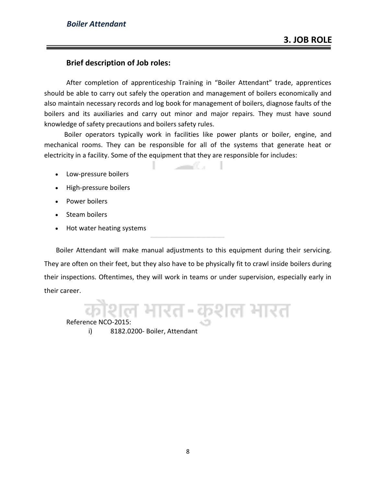#### **Brief description of Job roles:**

After completion of apprenticeship Training in "Boiler Attendant" trade, apprentices should be able to carry out safely the operation and management of boilers economically and also maintain necessary records and log book for management of boilers, diagnose faults of the boilers and its auxiliaries and carry out minor and major repairs. They must have sound knowledge of safety precautions and boilers safety rules.

 Boiler operators typically work in facilities like power plants or boiler, engine, and mechanical rooms. They can be responsible for all of the systems that generate heat or electricity in a facility. Some of the equipment that they are responsible for includes:

and Co

- Low-pressure boilers
- High-pressure boilers
- Power boilers
- Steam boilers
- Hot water heating systems

 Boiler Attendant will make manual adjustments to this equipment during their servicing. They are often on their feet, but they also have to be physically fit to crawl inside boilers during their inspections. Oftentimes, they will work in teams or under supervision, especially early in their career.

ग्शल मारत

#### Reference NCO-2015:

i) 8182.0200- Boiler, Attendant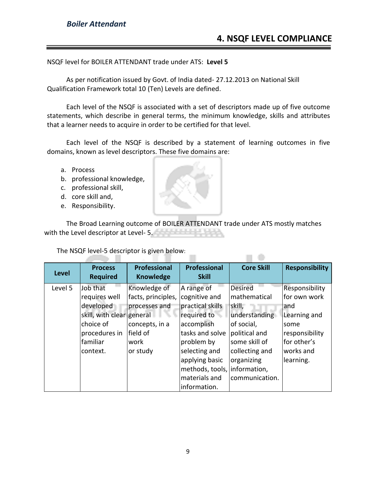NSQF level for BOILER ATTENDANT trade under ATS: **Level 5**

As per notification issued by Govt. of India dated- 27.12.2013 on National Skill Qualification Framework total 10 (Ten) Levels are defined.

Each level of the NSQF is associated with a set of descriptors made up of five outcome statements, which describe in general terms, the minimum knowledge, skills and attributes that a learner needs to acquire in order to be certified for that level.

Each level of the NSQF is described by a statement of learning outcomes in five domains, known as level descriptors. These five domains are:

- a. Process
- b. professional knowledge,
- c. professional skill,
- d. core skill and,
- e. Responsibility.

The Broad Learning outcome of BOILER ATTENDANT trade under ATS mostly matches with the Level descriptor at Level- 5.

The NSQF level-5 descriptor is given below:

|                      | <b>Process</b>            | <b>Professional</b> | <b>Professional</b>          | <b>Core Skill</b> | <b>Responsibility</b> |
|----------------------|---------------------------|---------------------|------------------------------|-------------------|-----------------------|
| <b>Level</b>         | <b>Required</b>           | <b>Knowledge</b>    | <b>Skill</b>                 |                   |                       |
| Level 5              | Job that                  | Knowledge of        | A range of                   | <b>Desired</b>    | Responsibility        |
|                      | requires well             | facts, principles,  | cognitive and                | mathematical      | for own work          |
|                      | developed                 | processes and       | practical skills             | skill,            | and                   |
|                      | skill, with clear general |                     | required to                  | understanding     | Learning and          |
|                      | choice of                 | concepts, in a      | accomplish                   | of social,        | some                  |
|                      | procedures in             | lfield of           | tasks and solve              | political and     | responsibility        |
|                      | familiar                  | work                | problem by                   | some skill of     | lfor other's          |
| or study<br>context. |                           | selecting and       | collecting and               | works and         |                       |
|                      |                           |                     | applying basic               | organizing        | learning.             |
|                      |                           |                     | methods, tools, information, |                   |                       |
|                      |                           |                     | materials and                | communication.    |                       |
|                      |                           |                     | information.                 |                   |                       |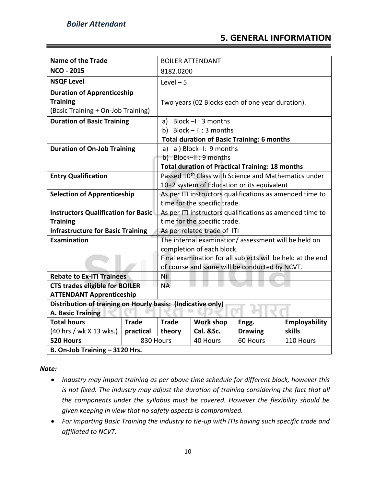#### **5. GENERAL INFORMATION**

| <b>Name of the Trade</b>                                    |                              | <b>BOILER ATTENDANT</b>                                    |                                                        |                                                          |                                                                  |
|-------------------------------------------------------------|------------------------------|------------------------------------------------------------|--------------------------------------------------------|----------------------------------------------------------|------------------------------------------------------------------|
| <b>NCO - 2015</b>                                           | 8182.0200                    |                                                            |                                                        |                                                          |                                                                  |
| <b>NSQF Level</b>                                           | $Level - 5$                  |                                                            |                                                        |                                                          |                                                                  |
| <b>Duration of Apprenticeship</b>                           |                              |                                                            |                                                        |                                                          |                                                                  |
| <b>Training</b>                                             |                              |                                                            | Two years (02 Blocks each of one year duration).       |                                                          |                                                                  |
| (Basic Training + On-Job Training)                          |                              |                                                            |                                                        |                                                          |                                                                  |
| <b>Duration of Basic Training</b>                           |                              |                                                            | a) Block $-I$ : 3 months                               |                                                          |                                                                  |
|                                                             |                              |                                                            | b) Block $- II : 3$ months                             |                                                          |                                                                  |
|                                                             |                              |                                                            | <b>Total duration of Basic Training: 6 months</b>      |                                                          |                                                                  |
| <b>Duration of On-Job Training</b>                          |                              |                                                            | a) a ) Block-I: 9 months                               |                                                          |                                                                  |
|                                                             |                              |                                                            | b) Block-II: 9 months                                  |                                                          |                                                                  |
|                                                             |                              |                                                            | <b>Total duration of Practical Training: 18 months</b> |                                                          |                                                                  |
| <b>Entry Qualification</b>                                  |                              |                                                            |                                                        |                                                          | Passed 10 <sup>th</sup> Class with Science and Mathematics under |
|                                                             |                              | 10+2 system of Education or its equivalent                 |                                                        |                                                          |                                                                  |
| <b>Selection of Apprenticeship</b>                          |                              | As per ITI instructors qualifications as amended time to   |                                                        |                                                          |                                                                  |
|                                                             | time for the specific trade. |                                                            |                                                        |                                                          |                                                                  |
| <b>Instructors Qualification for Basic</b>                  |                              |                                                            |                                                        | As per ITI instructors qualifications as amended time to |                                                                  |
| <b>Training</b>                                             |                              |                                                            | time for the specific trade.                           |                                                          |                                                                  |
| <b>Infrastructure for Basic Training</b>                    |                              | As per related trade of ITI                                |                                                        |                                                          |                                                                  |
| Examination                                                 |                              | The internal examination/assessment will be held on        |                                                        |                                                          |                                                                  |
|                                                             |                              | completion of each block.                                  |                                                        |                                                          |                                                                  |
|                                                             |                              | Final examination for all subjects will be held at the end |                                                        |                                                          |                                                                  |
|                                                             |                              | of course and same will be conducted by NCVT.              |                                                        |                                                          |                                                                  |
| <b>Rebate to Ex-ITI Trainees</b>                            |                              | Nil                                                        |                                                        |                                                          |                                                                  |
| <b>CTS trades eligible for BOILER</b>                       |                              | <b>NA</b>                                                  |                                                        |                                                          |                                                                  |
| <b>ATTENDANT Apprenticeship</b>                             |                              |                                                            |                                                        |                                                          |                                                                  |
| Distribution of training on Hourly basis: (Indicative only) |                              |                                                            |                                                        |                                                          |                                                                  |
| <b>A. Basic Training</b>                                    |                              |                                                            |                                                        |                                                          |                                                                  |
| <b>Total hours</b>                                          | <b>Trade</b>                 | <b>Trade</b>                                               | <b>Work shop</b>                                       | Engg.                                                    | Employability                                                    |
| (40 hrs./ wk X 13 wks.)                                     | practical                    | theory                                                     | Cal. &Sc.                                              | <b>Drawing</b>                                           | skills                                                           |
| 830 Hours<br>520 Hours                                      |                              |                                                            | 40 Hours                                               | 60 Hours                                                 | 110 Hours                                                        |
| B. On-Job Training - 3120 Hrs.                              |                              |                                                            |                                                        |                                                          |                                                                  |

*Note:*

- *Industry may impart training as per above time schedule for different block, however this is not fixed. The industry may adjust the duration of training considering the fact that all the components under the syllabus must be covered. However the flexibility should be given keeping in view that no safety aspects is compromised.*
- *For imparting Basic Training the industry to tie-up with ITIs having such specific trade and affiliated to NCVT.*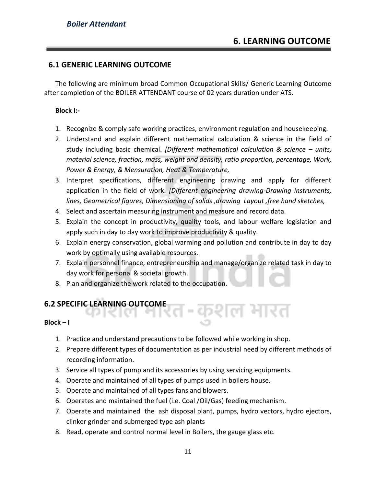#### **6.1 GENERIC LEARNING OUTCOME**

The following are minimum broad Common Occupational Skills/ Generic Learning Outcome after completion of the BOILER ATTENDANT course of 02 years duration under ATS.

#### **Block I:-**

- 1. Recognize & comply safe working practices, environment regulation and housekeeping.
- 2. Understand and explain different mathematical calculation & science in the field of study including basic chemical. *[Different mathematical calculation & science – units, material science, fraction, mass, weight and density, ratio proportion, percentage, Work, Power & Energy, & Mensuration, Heat & Temperature,*
- 3. Interpret specifications, different engineering drawing and apply for different application in the field of work. *[Different engineering drawing-Drawing instruments, lines, Geometrical figures, Dimensioning of solids ,drawing Layout ,free hand sketches,*
- 4. Select and ascertain measuring instrument and measure and record data.
- 5. Explain the concept in productivity, quality tools, and labour welfare legislation and apply such in day to day work to improve productivity & quality.
- 6. Explain energy conservation, global warming and pollution and contribute in day to day work by optimally using available resources.
- 7. Explain personnel finance, entrepreneurship and manage/organize related task in day to day work for personal & societal growth.
- 8. Plan and organize the work related to the occupation.

#### **6.2 SPECIFIC LEARNING OUTCOME**

#### $Block - I$

- 1. Practice and understand precautions to be followed while working in shop.
- 2. Prepare different types of documentation as per industrial need by different methods of recording information.

-कशल मारत

- 3. Service all types of pump and its accessories by using servicing equipments.
- 4. Operate and maintained of all types of pumps used in boilers house.
- 5. Operate and maintained of all types fans and blowers.
- 6. Operates and maintained the fuel (i.e. Coal /Oil/Gas) feeding mechanism.
- 7. Operate and maintained the ash disposal plant, pumps, hydro vectors, hydro ejectors, clinker grinder and submerged type ash plants
- 8. Read, operate and control normal level in Boilers, the gauge glass etc.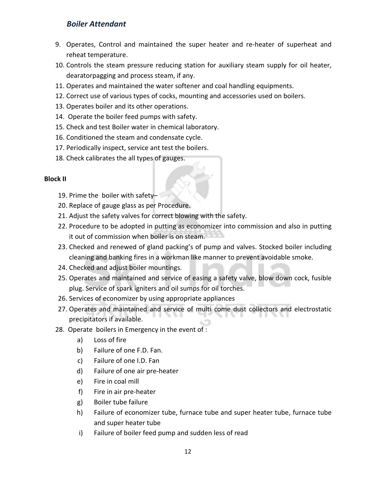- 9. Operates, Control and maintained the super heater and re-heater of superheat and reheat temperature.
- 10. Controls the steam pressure reducing station for auxiliary steam supply for oil heater, dearatorpagging and process steam, if any.
- 11. Operates and maintained the water softener and coal handling equipments.
- 12. Correct use of various types of cocks, mounting and accessories used on boilers.
- 13. Operates boiler and its other operations.
- 14. Operate the boiler feed pumps with safety.
- 15. Check and test Boiler water in chemical laboratory.
- 16. Conditioned the steam and condensate cycle.
- 17. Periodically inspect, service ant test the boilers.
- 18. Check calibrates the all types of gauges.

#### **Block II**

- 19. Prime the boiler with safety–
- 20. Replace of gauge glass as per Procedure.
- 21. Adjust the safety valves for correct blowing with the safety.
- 22. Procedure to be adopted in putting as economizer into commission and also in putting it out of commission when boiler is on steam.
- 23. Checked and renewed of gland packing's of pump and valves. Stocked boiler including cleaning and banking fires in a workman like manner to prevent avoidable smoke.
- 24. Checked and adjust boiler mountings.
- 25. Operates and maintained and service of easing a safety valve, blow down cock, fusible plug. Service of spark igniters and oil sumps for oil torches.
- 26. Services of economizer by using appropriate appliances
- 27. Operates and maintained and service of multi come dust collectors and electrostatic precipitators if available.
- 28. Operate boilers in Emergency in the event of :
	- a) Loss of fire
	- b) Failure of one F.D. Fan.
	- c) Failure of one I.D. Fan
	- d) Failure of one air pre-heater
	- e) Fire in coal mill
	- f) Fire in air pre-heater
	- g) Boiler tube failure
	- h) Failure of economizer tube, furnace tube and super heater tube, furnace tube and super heater tube
	- i) Failure of boiler feed pump and sudden less of read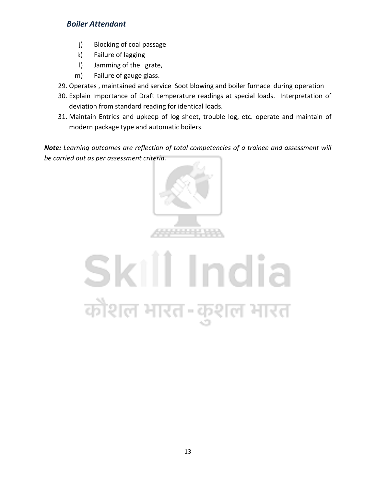- j) Blocking of coal passage
- k) Failure of lagging
- l) Jamming of the grate,
- m) Failure of gauge glass.
- 29. Operates , maintained and service Soot blowing and boiler furnace during operation
- 30. Explain Importance of Draft temperature readings at special loads. Interpretation of deviation from standard reading for identical loads.
- 31. Maintain Entries and upkeep of log sheet, trouble log, etc. operate and maintain of modern package type and automatic boilers.

*Note: Learning outcomes are reflection of total competencies of a trainee and assessment will be carried out as per assessment criteria.*



### Skill India कोशल भारत-कुशल भारत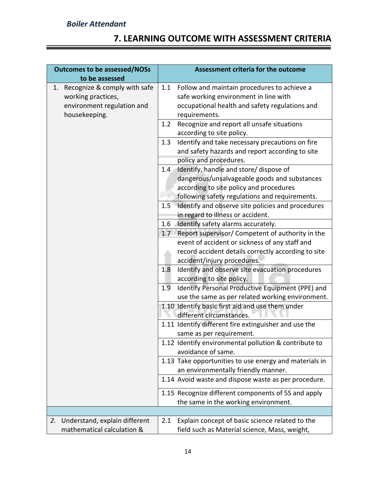#### **7. LEARNING OUTCOME WITH ASSESSMENT CRITERIA**

| <b>Outcomes to be assessed/NOSs</b>                                                                     | Assessment criteria for the outcome                                                                                                                                                             |
|---------------------------------------------------------------------------------------------------------|-------------------------------------------------------------------------------------------------------------------------------------------------------------------------------------------------|
| to be assessed                                                                                          |                                                                                                                                                                                                 |
| Recognize & comply with safe<br>1.<br>working practices,<br>environment regulation and<br>housekeeping. | Follow and maintain procedures to achieve a<br>1.1<br>safe working environment in line with<br>occupational health and safety regulations and<br>requirements.                                  |
|                                                                                                         | Recognize and report all unsafe situations<br>1.2<br>according to site policy.                                                                                                                  |
|                                                                                                         | Identify and take necessary precautions on fire<br>1.3<br>and safety hazards and report according to site<br>policy and procedures.                                                             |
|                                                                                                         | Identify, handle and store/ dispose of<br>1.4<br>dangerous/unsalvageable goods and substances<br>according to site policy and procedures<br>following safety regulations and requirements.      |
|                                                                                                         | Identify and observe site policies and procedures<br>1.5<br>in regard to illness or accident.                                                                                                   |
|                                                                                                         | Identify safety alarms accurately.<br>$1.6\phantom{0}$                                                                                                                                          |
|                                                                                                         | 1.7<br>Report supervisor/ Competent of authority in the<br>event of accident or sickness of any staff and<br>record accident details correctly according to site<br>accident/injury procedures. |
|                                                                                                         | Identify and observe site evacuation procedures<br>1.8<br>according to site policy.                                                                                                             |
|                                                                                                         | 1.9<br>Identify Personal Productive Equipment (PPE) and<br>use the same as per related working environment.                                                                                     |
|                                                                                                         | 1.10 Identify basic first aid and use them under<br>different circumstances.                                                                                                                    |
|                                                                                                         | 1.11 Identify different fire extinguisher and use the<br>same as per requirement.                                                                                                               |
|                                                                                                         | 1.12 Identify environmental pollution & contribute to<br>avoidance of same.                                                                                                                     |
|                                                                                                         | 1.13 Take opportunities to use energy and materials in<br>an environmentally friendly manner.                                                                                                   |
|                                                                                                         | 1.14 Avoid waste and dispose waste as per procedure.                                                                                                                                            |
|                                                                                                         | 1.15 Recognize different components of 5S and apply<br>the same in the working environment.                                                                                                     |
|                                                                                                         |                                                                                                                                                                                                 |
| Understand, explain different<br>2.<br>mathematical calculation &                                       | Explain concept of basic science related to the<br>2.1<br>field such as Material science, Mass, weight,                                                                                         |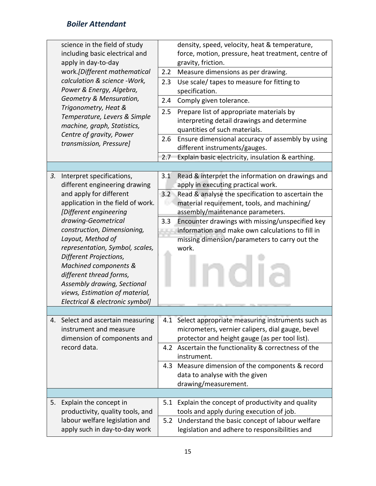|    | science in the field of study     |     | density, speed, velocity, heat & temperature,        |
|----|-----------------------------------|-----|------------------------------------------------------|
|    | including basic electrical and    |     | force, motion, pressure, heat treatment, centre of   |
|    | apply in day-to-day               |     | gravity, friction.                                   |
|    | work.[Different mathematical      |     | Measure dimensions as per drawing.                   |
|    | calculation & science - Work,     | 2.3 | Use scale/ tapes to measure for fitting to           |
|    | Power & Energy, Algebra,          |     | specification.                                       |
|    | Geometry & Mensuration,           | 2.4 | Comply given tolerance.                              |
|    | Trigonometry, Heat &              | 2.5 | Prepare list of appropriate materials by             |
|    | Temperature, Levers & Simple      |     | interpreting detail drawings and determine           |
|    | machine, graph, Statistics,       |     | quantities of such materials.                        |
|    | Centre of gravity, Power          | 2.6 | Ensure dimensional accuracy of assembly by using     |
|    | transmission, Pressure]           |     | different instruments/gauges.                        |
|    |                                   | 2.7 | Explain basic electricity, insulation & earthing.    |
|    |                                   |     |                                                      |
| 3. | Interpret specifications,         | 3.1 | Read & interpret the information on drawings and     |
|    | different engineering drawing     |     | apply in executing practical work.                   |
|    | and apply for different           | 3.2 | Read & analyse the specification to ascertain the    |
|    | application in the field of work. |     | material requirement, tools, and machining/          |
|    | [Different engineering            |     | assembly/maintenance parameters.                     |
|    | drawing-Geometrical               | 3.3 | Encounter drawings with missing/unspecified key      |
|    | construction, Dimensioning,       |     | information and make own calculations to fill in     |
|    | Layout, Method of                 |     | missing dimension/parameters to carry out the        |
|    | representation, Symbol, scales,   |     | work.                                                |
|    | Different Projections,            |     |                                                      |
|    | Machined components &             |     |                                                      |
|    | different thread forms,           |     |                                                      |
|    | Assembly drawing, Sectional       |     |                                                      |
|    | views, Estimation of material,    |     |                                                      |
|    | Electrical & electronic symbol]   |     |                                                      |
|    |                                   |     |                                                      |
|    | 4. Select and ascertain measuring |     | 4.1 Select appropriate measuring instruments such as |
|    | instrument and measure            |     | micrometers, vernier calipers, dial gauge, bevel     |
|    | dimension of components and       |     | protector and height gauge (as per tool list).       |
|    | record data.                      |     | 4.2 Ascertain the functionality & correctness of the |
|    |                                   |     | instrument.                                          |
|    |                                   |     | 4.3 Measure dimension of the components & record     |
|    |                                   |     | data to analyse with the given                       |
|    |                                   |     | drawing/measurement.                                 |
|    |                                   |     |                                                      |
| 5. | Explain the concept in            | 5.1 | Explain the concept of productivity and quality      |
|    | productivity, quality tools, and  |     | tools and apply during execution of job.             |
|    | labour welfare legislation and    | 5.2 | Understand the basic concept of labour welfare       |
|    | apply such in day-to-day work     |     | legislation and adhere to responsibilities and       |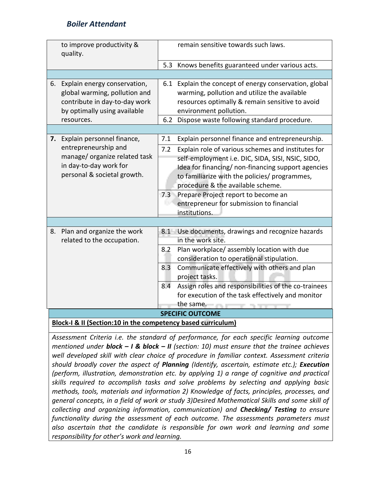|    | to improve productivity &<br>quality.                                                                                                        |                   | remain sensitive towards such laws.                                                                                                                                                                                                                                                                                                                                                                            |  |  |  |
|----|----------------------------------------------------------------------------------------------------------------------------------------------|-------------------|----------------------------------------------------------------------------------------------------------------------------------------------------------------------------------------------------------------------------------------------------------------------------------------------------------------------------------------------------------------------------------------------------------------|--|--|--|
|    |                                                                                                                                              | 5.3               | Knows benefits guaranteed under various acts.                                                                                                                                                                                                                                                                                                                                                                  |  |  |  |
|    |                                                                                                                                              |                   |                                                                                                                                                                                                                                                                                                                                                                                                                |  |  |  |
| 6. | Explain energy conservation,<br>global warming, pollution and<br>contribute in day-to-day work<br>by optimally using available<br>resources. | 6.2               | 6.1 Explain the concept of energy conservation, global<br>warming, pollution and utilize the available<br>resources optimally & remain sensitive to avoid<br>environment pollution.<br>Dispose waste following standard procedure.                                                                                                                                                                             |  |  |  |
|    |                                                                                                                                              |                   |                                                                                                                                                                                                                                                                                                                                                                                                                |  |  |  |
| 7. | Explain personnel finance,<br>entrepreneurship and<br>manage/ organize related task<br>in day-to-day work for<br>personal & societal growth. | 7.1<br>7.2        | Explain personnel finance and entrepreneurship.<br>Explain role of various schemes and institutes for<br>self-employment i.e. DIC, SIDA, SISI, NSIC, SIDO,<br>Idea for financing/ non-financing support agencies<br>to familiarize with the policies/ programmes,<br>procedure & the available scheme.<br>7.3 Prepare Project report to become an<br>entrepreneur for submission to financial<br>institutions. |  |  |  |
| 8. | Plan and organize the work<br>related to the occupation.                                                                                     | 8.2<br>8.3<br>8.4 | 8.1 Use documents, drawings and recognize hazards<br>in the work site.<br>Plan workplace/assembly location with due<br>consideration to operational stipulation.<br>Communicate effectively with others and plan<br>project tasks.<br>Assign roles and responsibilities of the co-trainees<br>for execution of the task effectively and monitor<br>the same.                                                   |  |  |  |
|    | <b>SPECIFIC OUTCOME</b>                                                                                                                      |                   |                                                                                                                                                                                                                                                                                                                                                                                                                |  |  |  |
|    | Block-I & II (Section:10 in the competency based curriculum)                                                                                 |                   |                                                                                                                                                                                                                                                                                                                                                                                                                |  |  |  |

*Assessment Criteria i.e. the standard of performance, for each specific learning outcome mentioned under block – I & block – II (section: 10) must ensure that the trainee achieves well developed skill with clear choice of procedure in familiar context. Assessment criteria should broadly cover the aspect of Planning (Identify, ascertain, estimate etc.); Execution (perform, illustration, demonstration etc. by applying 1) a range of cognitive and practical skills required to accomplish tasks and solve problems by selecting and applying basic methods, tools, materials and information 2) Knowledge of facts, principles, processes, and general concepts, in a field of work or study 3)Desired Mathematical Skills and some skill of collecting and organizing information, communication) and Checking/ Testing to ensure functionality during the assessment of each outcome. The assessments parameters must also ascertain that the candidate is responsible for own work and learning and some responsibility for other's work and learning.*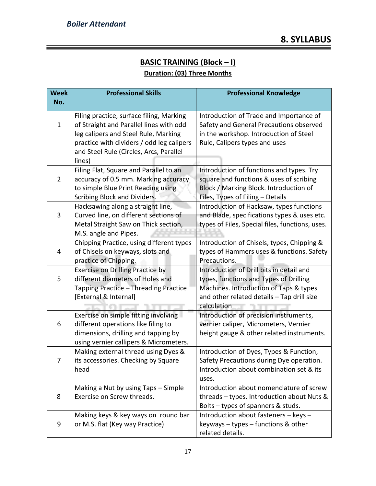#### **BASIC TRAINING (Block – I) Duration: (03) Three Months**

| <b>Week</b>    | <b>Professional Skills</b>                                                                                                                                                                                                    | <b>Professional Knowledge</b>                                                                                                                                                             |
|----------------|-------------------------------------------------------------------------------------------------------------------------------------------------------------------------------------------------------------------------------|-------------------------------------------------------------------------------------------------------------------------------------------------------------------------------------------|
| No.            |                                                                                                                                                                                                                               |                                                                                                                                                                                           |
| $\mathbf{1}$   | Filing practice, surface filing, Marking<br>of Straight and Parallel lines with odd<br>leg calipers and Steel Rule, Marking<br>practice with dividers / odd leg calipers<br>and Steel Rule (Circles, Arcs, Parallel<br>lines) | Introduction of Trade and Importance of<br>Safety and General Precautions observed<br>in the workshop. Introduction of Steel<br>Rule, Calipers types and uses                             |
| $\overline{2}$ | Filing Flat, Square and Parallel to an<br>accuracy of 0.5 mm. Marking accuracy<br>to simple Blue Print Reading using<br>Scribing Block and Dividers.                                                                          | Introduction of functions and types. Try<br>square and functions & uses of scribing<br>Block / Marking Block. Introduction of<br>Files, Types of Filing - Details                         |
| 3              | Hacksawing along a straight line,<br>Curved line, on different sections of<br>Metal Straight Saw on Thick section,<br>M.S. angle and Pipes.                                                                                   | Introduction of Hacksaw, types functions<br>and Blade, specifications types & uses etc.<br>types of Files, Special files, functions, uses.                                                |
| 4              | Chipping Practice, using different types<br>of Chisels on keyways, slots and<br>practice of Chipping.                                                                                                                         | Introduction of Chisels, types, Chipping &<br>types of Hammers uses & functions. Safety<br>Precautions.                                                                                   |
| 5              | <b>Exercise on Drilling Practice by</b><br>different diameters of Holes and<br>Tapping Practice - Threading Practice<br>[External & Internal]                                                                                 | Introduction of Drill bits in detail and<br>types, functions and Types of Drilling<br>Machines. Introduction of Taps & types<br>and other related details - Tap drill size<br>calculation |
| 6              | Exercise on simple fitting involving<br>different operations like filing to<br>dimensions, drilling and tapping by<br>using vernier callipers & Micrometers.                                                                  | Introduction of precision instruments,<br>vernier caliper, Micrometers, Vernier<br>height gauge & other related instruments.                                                              |
| 7              | Making external thread using Dyes &<br>its accessories. Checking by Square<br>head                                                                                                                                            | Introduction of Dyes, Types & Function,<br>Safety Precautions during Dye operation.<br>Introduction about combination set & its<br>uses.                                                  |
| 8              | Making a Nut by using Taps - Simple<br>Exercise on Screw threads.                                                                                                                                                             | Introduction about nomenclature of screw<br>threads - types. Introduction about Nuts &<br>Bolts - types of spanners & studs.                                                              |
| 9              | Making keys & key ways on round bar<br>or M.S. flat (Key way Practice)                                                                                                                                                        | Introduction about fasteners - keys -<br>keyways - types - functions & other<br>related details.                                                                                          |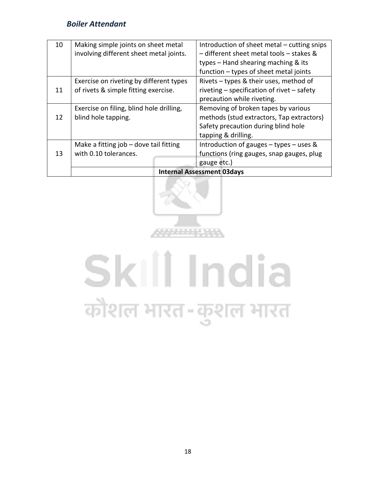| 10 | Making simple joints on sheet metal      | Introduction of sheet metal – cutting snips |
|----|------------------------------------------|---------------------------------------------|
|    | involving different sheet metal joints.  | - different sheet metal tools - stakes &    |
|    |                                          | types – Hand shearing maching & its         |
|    |                                          | function - types of sheet metal joints      |
|    | Exercise on riveting by different types  | Rivets - types & their uses, method of      |
| 11 | of rivets & simple fitting exercise.     | riveting - specification of rivet - safety  |
|    |                                          | precaution while riveting.                  |
|    | Exercise on filing, blind hole drilling, | Removing of broken tapes by various         |
| 12 | blind hole tapping.                      | methods (stud extractors, Tap extractors)   |
|    |                                          | Safety precaution during blind hole         |
|    |                                          | tapping & drilling.                         |
|    | Make a fitting job - dove tail fitting   | Introduction of gauges $-$ types $-$ uses & |
| 13 | with 0.10 tolerances.                    | functions (ring gauges, snap gauges, plug   |
|    |                                          | gauge etc.)                                 |
|    |                                          | <b>Internal Assessment 03days</b>           |



## Skill India कौशल भारत-कुशल भारत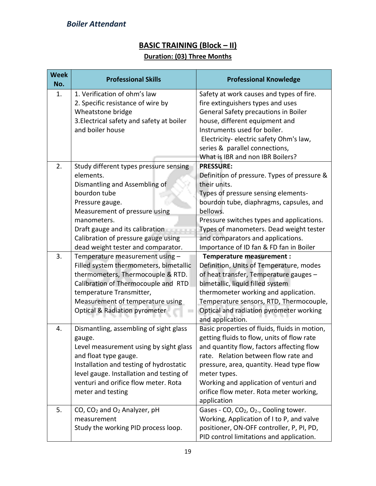#### **BASIC TRAINING (Block – II)**

#### **Duration: (03) Three Months**

| <b>Week</b><br>No. | <b>Professional Skills</b>                                                                                                                                                                                                                                                                   | <b>Professional Knowledge</b>                                                                                                                                                                                                                                                                                                                    |  |
|--------------------|----------------------------------------------------------------------------------------------------------------------------------------------------------------------------------------------------------------------------------------------------------------------------------------------|--------------------------------------------------------------------------------------------------------------------------------------------------------------------------------------------------------------------------------------------------------------------------------------------------------------------------------------------------|--|
| 1.                 | 1. Verification of ohm's law<br>2. Specific resistance of wire by<br>Wheatstone bridge<br>3. Electrical safety and safety at boiler<br>and boiler house                                                                                                                                      | Safety at work causes and types of fire.<br>fire extinguishers types and uses<br>General Safety precautions in Boiler<br>house, different equipment and<br>Instruments used for boiler.<br>Electricity- electric safety Ohm's law,                                                                                                               |  |
|                    |                                                                                                                                                                                                                                                                                              | series & parallel connections,<br>What is IBR and non IBR Boilers?                                                                                                                                                                                                                                                                               |  |
| 2.                 | Study different types pressure sensing<br>elements.<br>Dismantling and Assembling of<br>bourdon tube<br>Pressure gauge.<br>Measurement of pressure using<br>manometers.<br>Draft gauge and its calibration<br>Calibration of pressure gauge using                                            | <b>PRESSURE:</b><br>Definition of pressure. Types of pressure &<br>their units.<br>Types of pressure sensing elements-<br>bourdon tube, diaphragms, capsules, and<br>bellows.<br>Pressure switches types and applications.<br>Types of manometers. Dead weight tester<br>and comparators and applications.                                       |  |
| 3.                 | dead weight tester and comparator.<br>Temperature measurement using -<br>Filled system thermometers, bimetallic<br>thermometers, Thermocouple & RTD.<br>Calibration of Thermocouple and RTD<br>temperature Transmitter,<br>Measurement of temperature using<br>Optical & Radiation pyrometer | Importance of ID fan & FD fan in Boiler<br>Temperature measurement :<br>Definition, Units of Temperature, modes<br>of heat transfer, Temperature gauges -<br>bimetallic, liquid filled system<br>thermometer working and application.<br>Temperature sensors, RTD, Thermocouple,<br>Optical and radiation pyrometer working<br>and application.  |  |
| 4.                 | Dismantling, assembling of sight glass<br>gauge.<br>Level measurement using by sight glass<br>and float type gauge.<br>Installation and testing of hydrostatic<br>level gauge. Installation and testing of<br>venturi and orifice flow meter. Rota<br>meter and testing                      | Basic properties of fluids, fluids in motion,<br>getting fluids to flow, units of flow rate<br>and quantity flow, factors affecting flow<br>rate. Relation between flow rate and<br>pressure, area, quantity. Head type flow<br>meter types.<br>Working and application of venturi and<br>orifice flow meter. Rota meter working,<br>application |  |
| 5.                 | CO, CO <sub>2</sub> and O <sub>2</sub> Analyzer, pH<br>measurement<br>Study the working PID process loop.                                                                                                                                                                                    | Gases - CO, CO <sub>2</sub> , O <sub>2</sub> ., Cooling tower.<br>Working, Application of I to P, and valve<br>positioner, ON-OFF controller, P, PI, PD,<br>PID control limitations and application.                                                                                                                                             |  |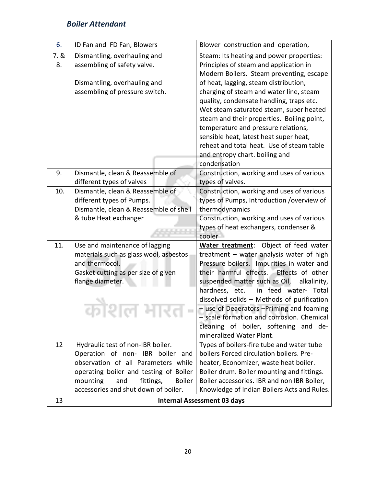| 7.8<br>8. | Dismantling, overhauling and<br>assembling of safety valve. | Steam: Its heating and power properties:<br>Principles of steam and application in   |
|-----------|-------------------------------------------------------------|--------------------------------------------------------------------------------------|
|           |                                                             | Modern Boilers. Steam preventing, escape                                             |
|           | Dismantling, overhauling and                                | of heat, lagging, steam distribution,                                                |
|           | assembling of pressure switch.                              | charging of steam and water line, steam                                              |
|           |                                                             | quality, condensate handling, traps etc.                                             |
|           |                                                             | Wet steam saturated steam, super heated                                              |
|           |                                                             | steam and their properties. Boiling point,                                           |
|           |                                                             | temperature and pressure relations,<br>sensible heat, latest heat super heat,        |
|           |                                                             | reheat and total heat. Use of steam table                                            |
|           |                                                             | and entropy chart. boiling and                                                       |
|           |                                                             | condensation                                                                         |
| 9.        | Dismantle, clean & Reassemble of                            | Construction, working and uses of various                                            |
|           | different types of valves                                   | types of valves.                                                                     |
| 10.       | Dismantle, clean & Reassemble of                            | Construction, working and uses of various                                            |
|           | different types of Pumps.                                   | types of Pumps, Introduction / overview of                                           |
|           | Dismantle, clean & Reassemble of shell                      | thermodynamics                                                                       |
|           | & tube Heat exchanger                                       | Construction, working and uses of various<br>types of heat exchangers, condenser &   |
|           |                                                             | cooler                                                                               |
| 11.       | Use and maintenance of lagging                              | Object of feed water<br>Water treatment:                                             |
|           | materials such as glass wool, asbestos                      | treatment - water analysis water of high                                             |
|           | and thermocol.                                              | Pressure boilers. Impurities in water and                                            |
|           | Gasket cutting as per size of given                         | their harmful effects.<br>Effects of other                                           |
|           | flange diameter.                                            | suspended matter such as Oil,<br>alkalinity,                                         |
|           |                                                             | in feed water- Total<br>hardness, etc.<br>dissolved solids - Methods of purification |
|           |                                                             |                                                                                      |
|           |                                                             |                                                                                      |
|           | .                                                           | - use of Deaerators - Priming and foaming                                            |
|           |                                                             | - scale formation and corrosion. Chemical                                            |
|           |                                                             | cleaning of boiler, softening and de-<br>mineralized Water Plant.                    |
| 12        | Hydraulic test of non-IBR boiler.                           | Types of boilers-fire tube and water tube                                            |
|           | Operation of non- IBR boiler and                            | boilers Forced circulation boilers. Pre-                                             |
|           | observation of all Parameters while                         | heater, Economizer, waste heat boiler.                                               |
|           | operating boiler and testing of Boiler                      | Boiler drum. Boiler mounting and fittings.                                           |
|           | mounting<br>and<br>fittings,<br><b>Boiler</b>               | Boiler accessories. IBR and non IBR Boiler,                                          |
| 13        | accessories and shut down of boiler.                        | Knowledge of Indian Boilers Acts and Rules.<br><b>Internal Assessment 03 days</b>    |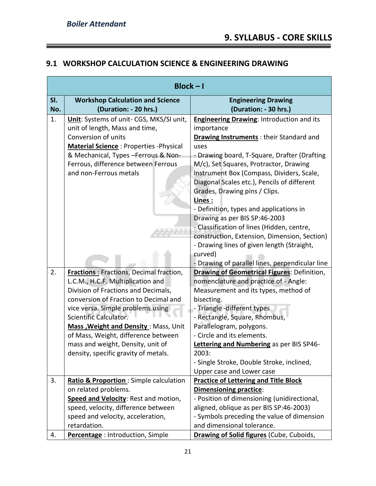=

#### **9.1 WORKSHOP CALCULATION SCIENCE & ENGINEERING DRAWING**

|     | $Block - I$                                    |                                                    |
|-----|------------------------------------------------|----------------------------------------------------|
| SI. | <b>Workshop Calculation and Science</b>        | <b>Engineering Drawing</b>                         |
| No. | (Duration: - 20 hrs.)                          | (Duration: - 30 hrs.)                              |
| 1.  | Unit: Systems of unit- CGS, MKS/SI unit,       | Engineering Drawing: Introduction and its          |
|     | unit of length, Mass and time,                 | importance                                         |
|     | Conversion of units                            | Drawing Instruments : their Standard and           |
|     | <b>Material Science: Properties - Physical</b> | uses                                               |
|     | & Mechanical, Types - Ferrous & Non-           | - Drawing board, T-Square, Drafter (Drafting       |
|     | Ferrous, difference between Ferrous            | M/c), Set Squares, Protractor, Drawing             |
|     | and non-Ferrous metals                         | Instrument Box (Compass, Dividers, Scale,          |
|     |                                                | Diagonal Scales etc.), Pencils of different        |
|     |                                                | Grades, Drawing pins / Clips.                      |
|     |                                                | Lines:                                             |
|     |                                                | - Definition, types and applications in            |
|     |                                                | Drawing as per BIS SP:46-2003                      |
|     |                                                | - Classification of lines (Hidden, centre,         |
|     |                                                | construction, Extension, Dimension, Section)       |
|     |                                                | - Drawing lines of given length (Straight,         |
|     |                                                | curved)                                            |
|     |                                                | - Drawing of parallel lines, perpendicular line    |
| 2.  | <b>Fractions:</b> Fractions, Decimal fraction, | <b>Drawing of Geometrical Figures: Definition,</b> |
|     | L.C.M., H.C.F. Multiplication and              | nomenclature and practice of - Angle:              |
|     | Division of Fractions and Decimals,            | Measurement and its types, method of               |
|     | conversion of Fraction to Decimal and          | bisecting.                                         |
|     | vice versa. Simple problems using              | - Triangle -different types                        |
|     | Scientific Calculator.                         | - Rectangle, Square, Rhombus,                      |
|     | Mass, Weight and Density: Mass, Unit           | Parallelogram, polygons.                           |
|     | of Mass, Weight, difference between            | - Circle and its elements.                         |
|     | mass and weight, Density, unit of              | Lettering and Numbering as per BIS SP46-           |
|     | density, specific gravity of metals.           | 2003:                                              |
|     |                                                | - Single Stroke, Double Stroke, inclined,          |
|     |                                                | Upper case and Lower case                          |
| 3.  | Ratio & Proportion: Simple calculation         | <b>Practice of Lettering and Title Block</b>       |
|     | on related problems.                           | <b>Dimensioning practice:</b>                      |
|     | Speed and Velocity: Rest and motion,           | - Position of dimensioning (unidirectional,        |
|     | speed, velocity, difference between            | aligned, oblique as per BIS SP:46-2003)            |
|     | speed and velocity, acceleration,              | - Symbols preceding the value of dimension         |
|     | retardation.                                   | and dimensional tolerance.                         |
| 4.  | Percentage: Introduction, Simple               | Drawing of Solid figures (Cube, Cuboids,           |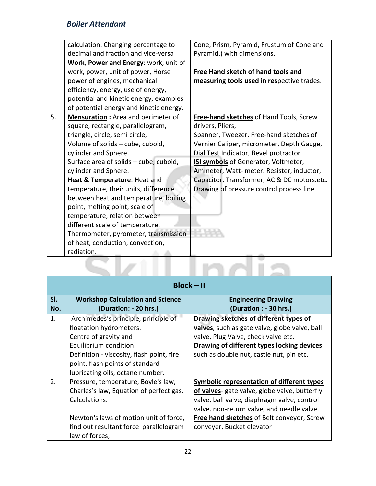| Cone, Prism, Pyramid, Frustum of Cone and<br>calculation. Changing percentage to<br>decimal and fraction and vice-versa<br>Pyramid.) with dimensions.<br>Work, Power and Energy: work, unit of<br>work, power, unit of power, Horse<br><b>Free Hand sketch of hand tools and</b><br>power of engines, mechanical<br>measuring tools used in respective trades.<br>efficiency, energy, use of energy,<br>potential and kinetic energy, examples<br>of potential energy and kinetic energy.<br>5.<br>Mensuration : Area and perimeter of<br>Free-hand sketches of Hand Tools, Screw<br>square, rectangle, parallelogram,<br>drivers, Pliers,<br>triangle, circle, semi circle,<br>Spanner, Tweezer. Free-hand sketches of<br>Volume of solids - cube, cuboid,<br>Vernier Caliper, micrometer, Depth Gauge,<br>cylinder and Sphere.<br>Dial Test Indicator, Bevel protractor<br>Surface area of solids - cube, cuboid,<br><b>ISI symbols</b> of Generator, Voltmeter,<br>cylinder and Sphere.<br>Ammeter, Watt- meter. Resister, inductor,<br><b>Heat &amp; Temperature: Heat and</b><br>Capacitor, Transformer, AC & DC motors.etc.<br>temperature, their units, difference<br>Drawing of pressure control process line<br>between heat and temperature, boiling<br>point, melting point, scale of<br>temperature, relation between<br>different scale of temperature,<br>Thermometer, pyrometer, transmission<br>of heat, conduction, convection,<br>radiation. |  |  |
|----------------------------------------------------------------------------------------------------------------------------------------------------------------------------------------------------------------------------------------------------------------------------------------------------------------------------------------------------------------------------------------------------------------------------------------------------------------------------------------------------------------------------------------------------------------------------------------------------------------------------------------------------------------------------------------------------------------------------------------------------------------------------------------------------------------------------------------------------------------------------------------------------------------------------------------------------------------------------------------------------------------------------------------------------------------------------------------------------------------------------------------------------------------------------------------------------------------------------------------------------------------------------------------------------------------------------------------------------------------------------------------------------------------------------------------------------------------|--|--|
|                                                                                                                                                                                                                                                                                                                                                                                                                                                                                                                                                                                                                                                                                                                                                                                                                                                                                                                                                                                                                                                                                                                                                                                                                                                                                                                                                                                                                                                                |  |  |
|                                                                                                                                                                                                                                                                                                                                                                                                                                                                                                                                                                                                                                                                                                                                                                                                                                                                                                                                                                                                                                                                                                                                                                                                                                                                                                                                                                                                                                                                |  |  |
|                                                                                                                                                                                                                                                                                                                                                                                                                                                                                                                                                                                                                                                                                                                                                                                                                                                                                                                                                                                                                                                                                                                                                                                                                                                                                                                                                                                                                                                                |  |  |
|                                                                                                                                                                                                                                                                                                                                                                                                                                                                                                                                                                                                                                                                                                                                                                                                                                                                                                                                                                                                                                                                                                                                                                                                                                                                                                                                                                                                                                                                |  |  |
|                                                                                                                                                                                                                                                                                                                                                                                                                                                                                                                                                                                                                                                                                                                                                                                                                                                                                                                                                                                                                                                                                                                                                                                                                                                                                                                                                                                                                                                                |  |  |
|                                                                                                                                                                                                                                                                                                                                                                                                                                                                                                                                                                                                                                                                                                                                                                                                                                                                                                                                                                                                                                                                                                                                                                                                                                                                                                                                                                                                                                                                |  |  |
|                                                                                                                                                                                                                                                                                                                                                                                                                                                                                                                                                                                                                                                                                                                                                                                                                                                                                                                                                                                                                                                                                                                                                                                                                                                                                                                                                                                                                                                                |  |  |
|                                                                                                                                                                                                                                                                                                                                                                                                                                                                                                                                                                                                                                                                                                                                                                                                                                                                                                                                                                                                                                                                                                                                                                                                                                                                                                                                                                                                                                                                |  |  |
|                                                                                                                                                                                                                                                                                                                                                                                                                                                                                                                                                                                                                                                                                                                                                                                                                                                                                                                                                                                                                                                                                                                                                                                                                                                                                                                                                                                                                                                                |  |  |
|                                                                                                                                                                                                                                                                                                                                                                                                                                                                                                                                                                                                                                                                                                                                                                                                                                                                                                                                                                                                                                                                                                                                                                                                                                                                                                                                                                                                                                                                |  |  |
|                                                                                                                                                                                                                                                                                                                                                                                                                                                                                                                                                                                                                                                                                                                                                                                                                                                                                                                                                                                                                                                                                                                                                                                                                                                                                                                                                                                                                                                                |  |  |
|                                                                                                                                                                                                                                                                                                                                                                                                                                                                                                                                                                                                                                                                                                                                                                                                                                                                                                                                                                                                                                                                                                                                                                                                                                                                                                                                                                                                                                                                |  |  |
|                                                                                                                                                                                                                                                                                                                                                                                                                                                                                                                                                                                                                                                                                                                                                                                                                                                                                                                                                                                                                                                                                                                                                                                                                                                                                                                                                                                                                                                                |  |  |
|                                                                                                                                                                                                                                                                                                                                                                                                                                                                                                                                                                                                                                                                                                                                                                                                                                                                                                                                                                                                                                                                                                                                                                                                                                                                                                                                                                                                                                                                |  |  |
|                                                                                                                                                                                                                                                                                                                                                                                                                                                                                                                                                                                                                                                                                                                                                                                                                                                                                                                                                                                                                                                                                                                                                                                                                                                                                                                                                                                                                                                                |  |  |
|                                                                                                                                                                                                                                                                                                                                                                                                                                                                                                                                                                                                                                                                                                                                                                                                                                                                                                                                                                                                                                                                                                                                                                                                                                                                                                                                                                                                                                                                |  |  |
|                                                                                                                                                                                                                                                                                                                                                                                                                                                                                                                                                                                                                                                                                                                                                                                                                                                                                                                                                                                                                                                                                                                                                                                                                                                                                                                                                                                                                                                                |  |  |
|                                                                                                                                                                                                                                                                                                                                                                                                                                                                                                                                                                                                                                                                                                                                                                                                                                                                                                                                                                                                                                                                                                                                                                                                                                                                                                                                                                                                                                                                |  |  |
|                                                                                                                                                                                                                                                                                                                                                                                                                                                                                                                                                                                                                                                                                                                                                                                                                                                                                                                                                                                                                                                                                                                                                                                                                                                                                                                                                                                                                                                                |  |  |
|                                                                                                                                                                                                                                                                                                                                                                                                                                                                                                                                                                                                                                                                                                                                                                                                                                                                                                                                                                                                                                                                                                                                                                                                                                                                                                                                                                                                                                                                |  |  |
|                                                                                                                                                                                                                                                                                                                                                                                                                                                                                                                                                                                                                                                                                                                                                                                                                                                                                                                                                                                                                                                                                                                                                                                                                                                                                                                                                                                                                                                                |  |  |
|                                                                                                                                                                                                                                                                                                                                                                                                                                                                                                                                                                                                                                                                                                                                                                                                                                                                                                                                                                                                                                                                                                                                                                                                                                                                                                                                                                                                                                                                |  |  |
|                                                                                                                                                                                                                                                                                                                                                                                                                                                                                                                                                                                                                                                                                                                                                                                                                                                                                                                                                                                                                                                                                                                                                                                                                                                                                                                                                                                                                                                                |  |  |
|                                                                                                                                                                                                                                                                                                                                                                                                                                                                                                                                                                                                                                                                                                                                                                                                                                                                                                                                                                                                                                                                                                                                                                                                                                                                                                                                                                                                                                                                |  |  |
|                                                                                                                                                                                                                                                                                                                                                                                                                                                                                                                                                                                                                                                                                                                                                                                                                                                                                                                                                                                                                                                                                                                                                                                                                                                                                                                                                                                                                                                                |  |  |

|            | $Block - II$                                                                                                                                                                                                                           |                                                                                                                                                                                                                                                                            |
|------------|----------------------------------------------------------------------------------------------------------------------------------------------------------------------------------------------------------------------------------------|----------------------------------------------------------------------------------------------------------------------------------------------------------------------------------------------------------------------------------------------------------------------------|
| SI.<br>No. | <b>Workshop Calculation and Science</b><br>(Duration: - 20 hrs.)                                                                                                                                                                       | <b>Engineering Drawing</b><br>(Duration : - 30 hrs.)                                                                                                                                                                                                                       |
| 1.         | Archimedes's principle, principle of<br>floatation hydrometers.<br>Centre of gravity and<br>Equilibrium condition.<br>Definition - viscosity, flash point, fire<br>point, flash points of standard<br>lubricating oils, octane number. | Drawing sketches of different types of<br>valves, such as gate valve, globe valve, ball<br>valve, Plug Valve, check valve etc.<br>Drawing of different types locking devices<br>such as double nut, castle nut, pin etc.                                                   |
| 2.         | Pressure, temperature, Boyle's law,<br>Charles's law, Equation of perfect gas.<br>Calculations.<br>Newton's laws of motion unit of force,<br>find out resultant force parallelogram<br>law of forces,                                  | <b>Symbolic representation of different types</b><br>of valves- gate valve, globe valve, butterfly<br>valve, ball valve, diaphragm valve, control<br>valve, non-return valve, and needle valve.<br>Free hand sketches of Belt conveyor, Screw<br>conveyer, Bucket elevator |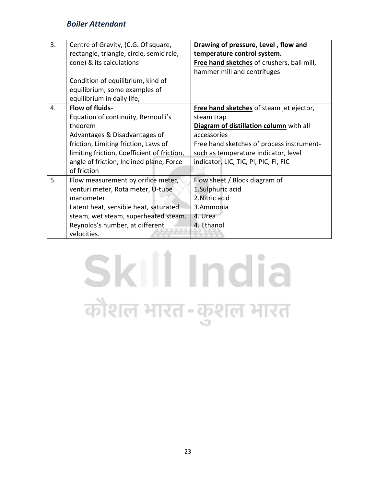| 3. | Centre of Gravity, (C.G. Of square,         | Drawing of pressure, Level, flow and       |
|----|---------------------------------------------|--------------------------------------------|
|    | rectangle, triangle, circle, semicircle,    | temperature control system.                |
|    | cone) & its calculations                    | Free hand sketches of crushers, ball mill, |
|    |                                             | hammer mill and centrifuges                |
|    | Condition of equilibrium, kind of           |                                            |
|    | equilibrium, some examples of               |                                            |
|    | equilibrium in daily life,                  |                                            |
| 4. | Flow of fluids-                             | Free hand sketches of steam jet ejector,   |
|    | Equation of continuity, Bernoulli's         | steam trap                                 |
|    | theorem                                     | Diagram of distillation column with all    |
|    | Advantages & Disadvantages of               | accessories                                |
|    | friction, Limiting friction, Laws of        | Free hand sketches of process instrument-  |
|    | limiting friction, Coefficient of friction, | such as temperature indicator, level       |
|    | angle of friction, Inclined plane, Force    | indicator, LIC, TIC, PI, PIC, FI, FIC      |
|    | of friction                                 |                                            |
| 5. | Flow measurement by orifice meter,          | Flow sheet / Block diagram of              |
|    | venturi meter, Rota meter, U-tube           | 1.Sulphuric acid                           |
|    | manometer.                                  | 2. Nitric acid                             |
|    | Latent heat, sensible heat, saturated       | 3.Ammonia                                  |
|    | steam, wet steam, superheated steam.        | 4. Urea                                    |
|    | Reynolds's number, at different             | 4. Ethanol                                 |
|    | velocities.                                 |                                            |

## Skill India कौशल भारत-कुशल भारत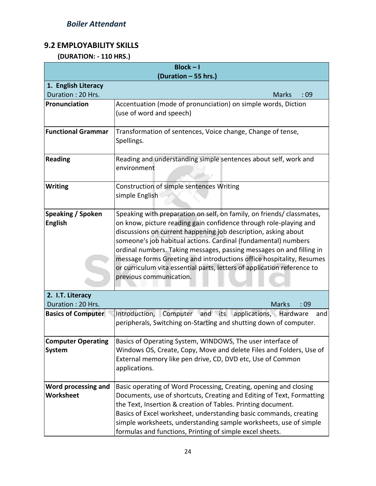#### **9.2 EMPLOYABILITY SKILLS**

 **(DURATION: - 110 HRS.)**

| $Block - I$               |                                                                         |  |
|---------------------------|-------------------------------------------------------------------------|--|
| (Duration - 55 hrs.)      |                                                                         |  |
| 1. English Literacy       |                                                                         |  |
| Duration: 20 Hrs.         | :09<br><b>Marks</b>                                                     |  |
| Pronunciation             | Accentuation (mode of pronunciation) on simple words, Diction           |  |
|                           | (use of word and speech)                                                |  |
| <b>Functional Grammar</b> | Transformation of sentences, Voice change, Change of tense,             |  |
|                           | Spellings.                                                              |  |
|                           |                                                                         |  |
| <b>Reading</b>            | Reading and understanding simple sentences about self, work and         |  |
|                           | environment                                                             |  |
|                           |                                                                         |  |
| <b>Writing</b>            | Construction of simple sentences Writing                                |  |
|                           | simple English                                                          |  |
|                           |                                                                         |  |
| <b>Speaking / Spoken</b>  | Speaking with preparation on self, on family, on friends/ classmates,   |  |
| <b>English</b>            | on know, picture reading gain confidence through role-playing and       |  |
|                           | discussions on current happening job description, asking about          |  |
|                           | someone's job habitual actions. Cardinal (fundamental) numbers          |  |
|                           | ordinal numbers. Taking messages, passing messages on and filling in    |  |
|                           | message forms Greeting and introductions office hospitality, Resumes    |  |
|                           | or curriculum vita essential parts, letters of application reference to |  |
|                           | previous communication.                                                 |  |
| 2. I.T. Literacy          |                                                                         |  |
| Duration: 20 Hrs.         | <b>Marks</b><br>:09                                                     |  |
| <b>Basics of Computer</b> | Introduction, Computer and its applications, Hardware<br>and            |  |
|                           | peripherals, Switching on-Starting and shutting down of computer.       |  |
|                           |                                                                         |  |
| <b>Computer Operating</b> | Basics of Operating System, WINDOWS, The user interface of              |  |
| System                    | Windows OS, Create, Copy, Move and delete Files and Folders, Use of     |  |
|                           | External memory like pen drive, CD, DVD etc, Use of Common              |  |
|                           | applications.                                                           |  |
|                           |                                                                         |  |
| Word processing and       | Basic operating of Word Processing, Creating, opening and closing       |  |
| Worksheet                 | Documents, use of shortcuts, Creating and Editing of Text, Formatting   |  |
|                           | the Text, Insertion & creation of Tables. Printing document.            |  |
|                           | Basics of Excel worksheet, understanding basic commands, creating       |  |
|                           | simple worksheets, understanding sample worksheets, use of simple       |  |
|                           | formulas and functions, Printing of simple excel sheets.                |  |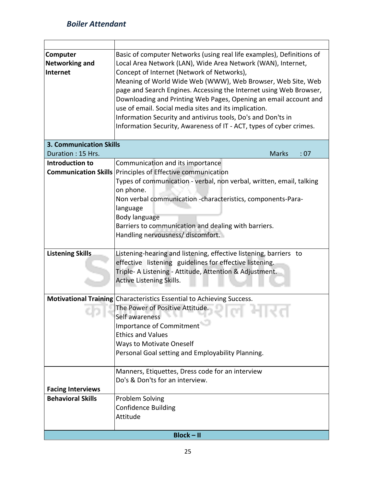| Computer<br><b>Networking and</b><br>Internet | Basic of computer Networks (using real life examples), Definitions of<br>Local Area Network (LAN), Wide Area Network (WAN), Internet,<br>Concept of Internet (Network of Networks),<br>Meaning of World Wide Web (WWW), Web Browser, Web Site, Web<br>page and Search Engines. Accessing the Internet using Web Browser,<br>Downloading and Printing Web Pages, Opening an email account and<br>use of email. Social media sites and its implication.<br>Information Security and antivirus tools, Do's and Don'ts in |  |
|-----------------------------------------------|-----------------------------------------------------------------------------------------------------------------------------------------------------------------------------------------------------------------------------------------------------------------------------------------------------------------------------------------------------------------------------------------------------------------------------------------------------------------------------------------------------------------------|--|
|                                               | Information Security, Awareness of IT - ACT, types of cyber crimes.                                                                                                                                                                                                                                                                                                                                                                                                                                                   |  |
| <b>3. Communication Skills</b>                |                                                                                                                                                                                                                                                                                                                                                                                                                                                                                                                       |  |
| Duration: 15 Hrs.                             | <b>Marks</b><br>: 07                                                                                                                                                                                                                                                                                                                                                                                                                                                                                                  |  |
| <b>Introduction to</b>                        | Communication and its importance                                                                                                                                                                                                                                                                                                                                                                                                                                                                                      |  |
|                                               | <b>Communication Skills Principles of Effective communication</b>                                                                                                                                                                                                                                                                                                                                                                                                                                                     |  |
|                                               | Types of communication - verbal, non verbal, written, email, talking                                                                                                                                                                                                                                                                                                                                                                                                                                                  |  |
|                                               | on phone.                                                                                                                                                                                                                                                                                                                                                                                                                                                                                                             |  |
|                                               | Non verbal communication -characteristics, components-Para-                                                                                                                                                                                                                                                                                                                                                                                                                                                           |  |
|                                               | language                                                                                                                                                                                                                                                                                                                                                                                                                                                                                                              |  |
|                                               | Body language                                                                                                                                                                                                                                                                                                                                                                                                                                                                                                         |  |
|                                               | Barriers to communication and dealing with barriers.                                                                                                                                                                                                                                                                                                                                                                                                                                                                  |  |
|                                               | Handling nervousness/ discomfort.                                                                                                                                                                                                                                                                                                                                                                                                                                                                                     |  |
|                                               |                                                                                                                                                                                                                                                                                                                                                                                                                                                                                                                       |  |
| <b>Listening Skills</b>                       | Listening-hearing and listening, effective listening, barriers to                                                                                                                                                                                                                                                                                                                                                                                                                                                     |  |
|                                               | effective listening guidelines for effective listening.                                                                                                                                                                                                                                                                                                                                                                                                                                                               |  |
|                                               | Triple- A Listening - Attitude, Attention & Adjustment.                                                                                                                                                                                                                                                                                                                                                                                                                                                               |  |
|                                               | <b>Active Listening Skills.</b>                                                                                                                                                                                                                                                                                                                                                                                                                                                                                       |  |
|                                               |                                                                                                                                                                                                                                                                                                                                                                                                                                                                                                                       |  |
|                                               | Motivational Training Characteristics Essential to Achieving Success.                                                                                                                                                                                                                                                                                                                                                                                                                                                 |  |
|                                               | The Power of Positive Attitude.                                                                                                                                                                                                                                                                                                                                                                                                                                                                                       |  |
|                                               | Self awareness<br>Importance of Commitment <sup>427</sup>                                                                                                                                                                                                                                                                                                                                                                                                                                                             |  |
|                                               | <b>Ethics and Values</b>                                                                                                                                                                                                                                                                                                                                                                                                                                                                                              |  |
|                                               |                                                                                                                                                                                                                                                                                                                                                                                                                                                                                                                       |  |
|                                               | <b>Ways to Motivate Oneself</b><br>Personal Goal setting and Employability Planning.                                                                                                                                                                                                                                                                                                                                                                                                                                  |  |
|                                               |                                                                                                                                                                                                                                                                                                                                                                                                                                                                                                                       |  |
|                                               | Manners, Etiquettes, Dress code for an interview                                                                                                                                                                                                                                                                                                                                                                                                                                                                      |  |
|                                               | Do's & Don'ts for an interview.                                                                                                                                                                                                                                                                                                                                                                                                                                                                                       |  |
| <b>Facing Interviews</b>                      |                                                                                                                                                                                                                                                                                                                                                                                                                                                                                                                       |  |
| <b>Behavioral Skills</b>                      | Problem Solving                                                                                                                                                                                                                                                                                                                                                                                                                                                                                                       |  |
|                                               | <b>Confidence Building</b>                                                                                                                                                                                                                                                                                                                                                                                                                                                                                            |  |
|                                               | Attitude                                                                                                                                                                                                                                                                                                                                                                                                                                                                                                              |  |
|                                               |                                                                                                                                                                                                                                                                                                                                                                                                                                                                                                                       |  |
| <b>Block-II</b>                               |                                                                                                                                                                                                                                                                                                                                                                                                                                                                                                                       |  |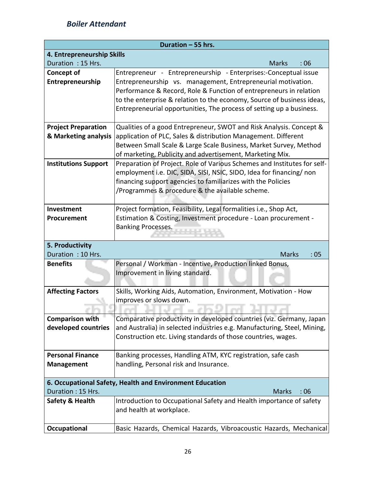| Duration - 55 hrs.                                 |                                                                                                                                       |  |
|----------------------------------------------------|---------------------------------------------------------------------------------------------------------------------------------------|--|
| 4. Entrepreneurship Skills                         |                                                                                                                                       |  |
| Duration: 15 Hrs.                                  | <b>Marks</b><br>:06                                                                                                                   |  |
| Concept of                                         | Entrepreneur - Entrepreneurship - Enterprises:-Conceptual issue                                                                       |  |
| Entrepreneurship                                   | Entrepreneurship vs. management, Entrepreneurial motivation.                                                                          |  |
|                                                    | Performance & Record, Role & Function of entrepreneurs in relation                                                                    |  |
|                                                    | to the enterprise & relation to the economy, Source of business ideas,                                                                |  |
|                                                    | Entrepreneurial opportunities, The process of setting up a business.                                                                  |  |
|                                                    |                                                                                                                                       |  |
| <b>Project Preparation</b><br>& Marketing analysis | Qualities of a good Entrepreneur, SWOT and Risk Analysis. Concept &<br>application of PLC, Sales & distribution Management. Different |  |
|                                                    | Between Small Scale & Large Scale Business, Market Survey, Method                                                                     |  |
|                                                    | of marketing, Publicity and advertisement, Marketing Mix.                                                                             |  |
| <b>Institutions Support</b>                        | Preparation of Project. Role of Various Schemes and Institutes for self-                                                              |  |
|                                                    | employment i.e. DIC, SIDA, SISI, NSIC, SIDO, Idea for financing/ non                                                                  |  |
|                                                    | financing support agencies to familiarizes with the Policies                                                                          |  |
|                                                    | /Programmes & procedure & the available scheme.                                                                                       |  |
|                                                    |                                                                                                                                       |  |
| Investment                                         | Project formation, Feasibility, Legal formalities i.e., Shop Act,                                                                     |  |
| Procurement                                        | Estimation & Costing, Investment procedure - Loan procurement -                                                                       |  |
|                                                    | <b>Banking Processes.</b>                                                                                                             |  |
|                                                    |                                                                                                                                       |  |
| 5. Productivity                                    |                                                                                                                                       |  |
| Duration: 10 Hrs.                                  | <b>Marks</b><br>:05                                                                                                                   |  |
| <b>Benefits</b>                                    | Personal / Workman - Incentive, Production linked Bonus,<br>Improvement in living standard.                                           |  |
|                                                    |                                                                                                                                       |  |
| <b>Affecting Factors</b>                           | Skills, Working Aids, Automation, Environment, Motivation - How                                                                       |  |
|                                                    | improves or slows down.                                                                                                               |  |
|                                                    |                                                                                                                                       |  |
| <b>Comparison with</b>                             | Comparative productivity in developed countries (viz. Germany, Japan                                                                  |  |
| developed countries                                | and Australia) in selected industries e.g. Manufacturing, Steel, Mining,                                                              |  |
|                                                    | Construction etc. Living standards of those countries, wages.                                                                         |  |
|                                                    |                                                                                                                                       |  |
| <b>Personal Finance</b>                            | Banking processes, Handling ATM, KYC registration, safe cash                                                                          |  |
| <b>Management</b>                                  | handling, Personal risk and Insurance.                                                                                                |  |
|                                                    |                                                                                                                                       |  |
|                                                    | 6. Occupational Safety, Health and Environment Education                                                                              |  |
| Duration: 15 Hrs.                                  | <b>Marks</b><br>:06                                                                                                                   |  |
| Safety & Health                                    | Introduction to Occupational Safety and Health importance of safety<br>and health at workplace.                                       |  |
|                                                    |                                                                                                                                       |  |
| Occupational                                       | Basic Hazards, Chemical Hazards, Vibroacoustic Hazards, Mechanical                                                                    |  |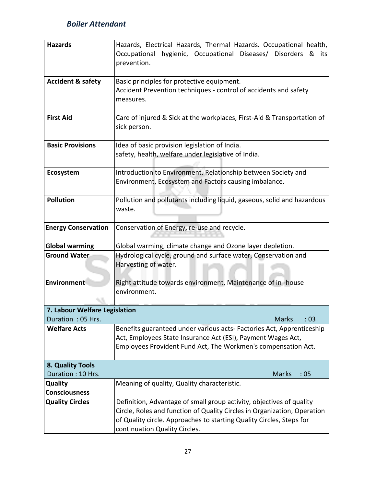| <b>Hazards</b>                | Hazards, Electrical Hazards, Thermal Hazards. Occupational health,       |  |
|-------------------------------|--------------------------------------------------------------------------|--|
|                               |                                                                          |  |
|                               | hygienic, Occupational Diseases/ Disorders &<br>Occupational<br>its      |  |
|                               | prevention.                                                              |  |
|                               |                                                                          |  |
| <b>Accident &amp; safety</b>  | Basic principles for protective equipment.                               |  |
|                               | Accident Prevention techniques - control of accidents and safety         |  |
|                               | measures.                                                                |  |
|                               |                                                                          |  |
| <b>First Aid</b>              | Care of injured & Sick at the workplaces, First-Aid & Transportation of  |  |
|                               | sick person.                                                             |  |
|                               |                                                                          |  |
|                               |                                                                          |  |
| <b>Basic Provisions</b>       | Idea of basic provision legislation of India.                            |  |
|                               | safety, health, welfare under legislative of India.                      |  |
|                               |                                                                          |  |
| Ecosystem                     | Introduction to Environment. Relationship between Society and            |  |
|                               | Environment, Ecosystem and Factors causing imbalance.                    |  |
|                               |                                                                          |  |
| <b>Pollution</b>              | Pollution and pollutants including liquid, gaseous, solid and hazardous  |  |
|                               | waste.                                                                   |  |
|                               |                                                                          |  |
| <b>Energy Conservation</b>    | Conservation of Energy, re-use and recycle.                              |  |
|                               |                                                                          |  |
|                               |                                                                          |  |
| <b>Global warming</b>         | Global warming, climate change and Ozone layer depletion.                |  |
| <b>Ground Water</b>           | Hydrological cycle, ground and surface water, Conservation and           |  |
|                               | Harvesting of water.                                                     |  |
|                               |                                                                          |  |
| Environment                   | Right attitude towards environment, Maintenance of in-house              |  |
|                               | environment.                                                             |  |
|                               |                                                                          |  |
| 7. Labour Welfare Legislation |                                                                          |  |
| Duration: 05 Hrs.             | <b>Marks</b><br>:03                                                      |  |
| <b>Welfare Acts</b>           | Benefits guaranteed under various acts- Factories Act, Apprenticeship    |  |
|                               | Act, Employees State Insurance Act (ESI), Payment Wages Act,             |  |
|                               | Employees Provident Fund Act, The Workmen's compensation Act.            |  |
|                               |                                                                          |  |
| 8. Quality Tools              |                                                                          |  |
| Duration: 10 Hrs.             | Marks<br>:05                                                             |  |
|                               |                                                                          |  |
| Quality                       | Meaning of quality, Quality characteristic.                              |  |
| <b>Consciousness</b>          |                                                                          |  |
| <b>Quality Circles</b>        | Definition, Advantage of small group activity, objectives of quality     |  |
|                               | Circle, Roles and function of Quality Circles in Organization, Operation |  |
|                               | of Quality circle. Approaches to starting Quality Circles, Steps for     |  |
|                               | continuation Quality Circles.                                            |  |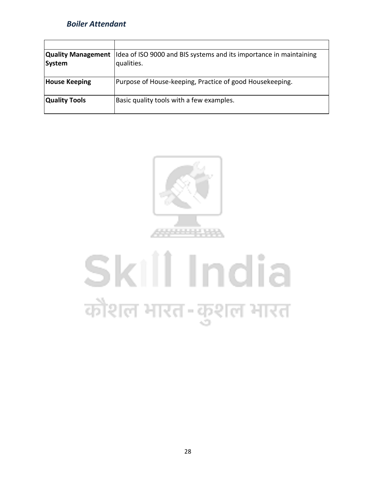| System               | <b>Quality Management</b>   Idea of ISO 9000 and BIS systems and its importance in maintaining<br>qualities. |
|----------------------|--------------------------------------------------------------------------------------------------------------|
| <b>House Keeping</b> | Purpose of House-keeping, Practice of good Housekeeping.                                                     |
| <b>Quality Tools</b> | Basic quality tools with a few examples.                                                                     |



# Skill India कौशल भारत-कुशल भारत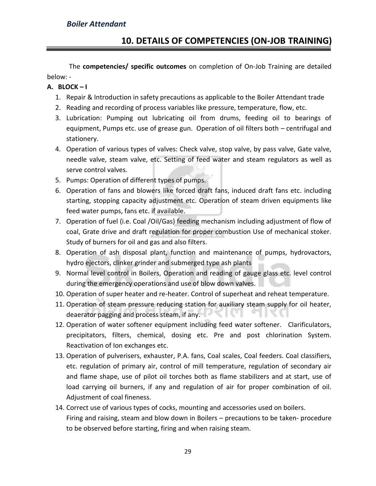The **competencies/ specific outcomes** on completion of On-Job Training are detailed below: -

#### **A. BLOCK – I**

- 1. Repair & Introduction in safety precautions as applicable to the Boiler Attendant trade
- 2. Reading and recording of process variables like pressure, temperature, flow, etc.
- 3. Lubrication: Pumping out lubricating oil from drums, feeding oil to bearings of equipment, Pumps etc. use of grease gun. Operation of oil filters both – centrifugal and stationery.
- 4. Operation of various types of valves: Check valve, stop valve, by pass valve, Gate valve, needle valve, steam valve, etc. Setting of feed water and steam regulators as well as serve control valves.
- 5. Pumps: Operation of different types of pumps.
- 6. Operation of fans and blowers like forced draft fans, induced draft fans etc. including starting, stopping capacity adjustment etc. Operation of steam driven equipments like feed water pumps, fans etc. if available.
- 7. Operation of fuel (i.e. Coal /Oil/Gas) feeding mechanism including adjustment of flow of coal, Grate drive and draft regulation for proper combustion Use of mechanical stoker. Study of burners for oil and gas and also filters.
- 8. Operation of ash disposal plant, function and maintenance of pumps, hydrovactors, hydro ejectors, clinker grinder and submerged type ash plants
- 9. Normal level control in Boilers, Operation and reading of gauge glass etc. level control during the emergency operations and use of blow down valves.
- 10. Operation of super heater and re-heater. Control of superheat and reheat temperature.
- 11. Operation of steam pressure reducing station for auxiliary steam supply for oil heater, deaerator pagging and process steam, if any.
- 12. Operation of water softener equipment including feed water softener. Clarificulators, precipitators, filters, chemical, dosing etc. Pre and post chlorination System. Reactivation of Ion exchanges etc.
- 13. Operation of pulverisers, exhauster, P.A. fans, Coal scales, Coal feeders. Coal classifiers, etc. regulation of primary air, control of mill temperature, regulation of secondary air and flame shape, use of pilot oil torches both as flame stabilizers and at start, use of load carrying oil burners, if any and regulation of air for proper combination of oil. Adjustment of coal fineness.
- 14. Correct use of various types of cocks, mounting and accessories used on boilers. Firing and raising, steam and blow down in Boilers – precautions to be taken- procedure to be observed before starting, firing and when raising steam.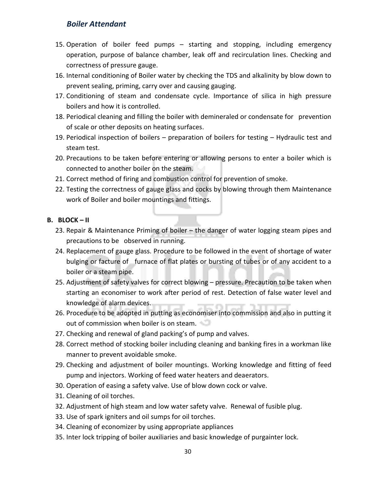- 15. Operation of boiler feed pumps starting and stopping, including emergency operation, purpose of balance chamber, leak off and recirculation lines. Checking and correctness of pressure gauge.
- 16. Internal conditioning of Boiler water by checking the TDS and alkalinity by blow down to prevent sealing, priming, carry over and causing gauging.
- 17. Conditioning of steam and condensate cycle. Importance of silica in high pressure boilers and how it is controlled.
- 18. Periodical cleaning and filling the boiler with demineraled or condensate for prevention of scale or other deposits on heating surfaces.
- 19. Periodical inspection of boilers preparation of boilers for testing Hydraulic test and steam test.
- 20. Precautions to be taken before entering or allowing persons to enter a boiler which is connected to another boiler on the steam.
- 21. Correct method of firing and combustion control for prevention of smoke.
- 22. Testing the correctness of gauge glass and cocks by blowing through them Maintenance work of Boiler and boiler mountings and fittings.

#### **B. BLOCK – II**

- 23. Repair & Maintenance Priming of boiler the danger of water logging steam pipes and precautions to be observed in running.
- 24. Replacement of gauge glass. Procedure to be followed in the event of shortage of water bulging or facture of furnace of flat plates or bursting of tubes or of any accident to a boiler or a steam pipe.
- 25. Adjustment of safety valves for correct blowing pressure. Precaution to be taken when starting an economiser to work after period of rest. Detection of false water level and knowledge of alarm devices.
- 26. Procedure to be adopted in putting as economiser into commission and also in putting it out of commission when boiler is on steam.
- 27. Checking and renewal of gland packing's of pump and valves.
- 28. Correct method of stocking boiler including cleaning and banking fires in a workman like manner to prevent avoidable smoke.
- 29. Checking and adjustment of boiler mountings. Working knowledge and fitting of feed pump and injectors. Working of feed water heaters and deaerators.
- 30. Operation of easing a safety valve. Use of blow down cock or valve.
- 31. Cleaning of oil torches.
- 32. Adjustment of high steam and low water safety valve. Renewal of fusible plug.
- 33. Use of spark igniters and oil sumps for oil torches.
- 34. Cleaning of economizer by using appropriate appliances
- 35. Inter lock tripping of boiler auxiliaries and basic knowledge of purgainter lock.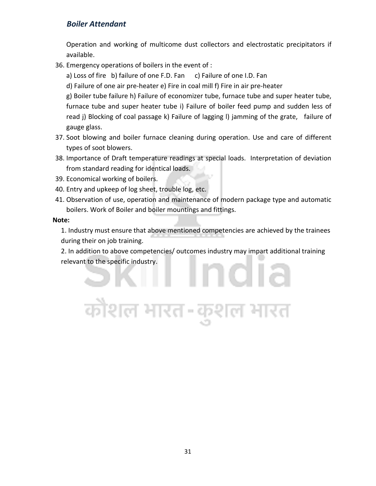Operation and working of multicome dust collectors and electrostatic precipitators if available.

36. Emergency operations of boilers in the event of :

a) Loss of fire b) failure of one F.D. Fan c) Failure of one I.D. Fan

d) Failure of one air pre-heater e) Fire in coal mill f) Fire in air pre-heater

g) Boiler tube failure h) Failure of economizer tube, furnace tube and super heater tube, furnace tube and super heater tube i) Failure of boiler feed pump and sudden less of read j) Blocking of coal passage k) Failure of lagging l) jamming of the grate, failure of gauge glass.

- 37. Soot blowing and boiler furnace cleaning during operation. Use and care of different types of soot blowers.
- 38. Importance of Draft temperature readings at special loads. Interpretation of deviation from standard reading for identical loads.
- 39. Economical working of boilers.
- 40. Entry and upkeep of log sheet, trouble log, etc.
- 41. Observation of use, operation and maintenance of modern package type and automatic boilers. Work of Boiler and boiler mountings and fittings.

**Note:** 

1. Industry must ensure that above mentioned competencies are achieved by the trainees during their on job training.

2. In addition to above competencies/ outcomes industry may impart additional training relevant to the specific industry.าดเล

कौशल भारत-कुशल भारत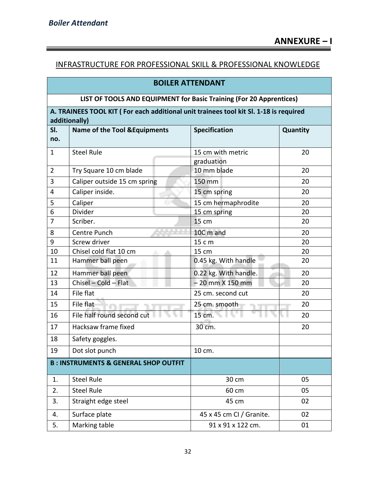#### INFRASTRUCTURE FOR PROFESSIONAL SKILL & PROFESSIONAL KNOWLEDGE

#### **BOILER ATTENDANT**

#### **LIST OF TOOLS AND EQUIPMENT for Basic Training (For 20 Apprentices)**

#### **A. TRAINEES TOOL KIT ( For each additional unit trainees tool kit Sl. 1-18 is required additionally)**

|                | auunuunan v <i>i</i>                            |                          |          |  |  |  |  |
|----------------|-------------------------------------------------|--------------------------|----------|--|--|--|--|
| SI.<br>no.     | <b>Name of the Tool &amp; Equipments</b>        | <b>Specification</b>     | Quantity |  |  |  |  |
| $\mathbf{1}$   | <b>Steel Rule</b>                               | 15 cm with metric        | 20       |  |  |  |  |
|                |                                                 | graduation               |          |  |  |  |  |
| $\overline{2}$ | Try Square 10 cm blade                          | 10 mm blade              | 20       |  |  |  |  |
| 3              | Caliper outside 15 cm spring                    | 150 mm                   | 20       |  |  |  |  |
| 4              | Caliper inside.                                 | 15 cm spring             | 20       |  |  |  |  |
| 5              | Caliper                                         | 15 cm hermaphrodite      | 20       |  |  |  |  |
| 6              | Divider                                         | 15 cm spring             | 20       |  |  |  |  |
| $\overline{7}$ | Scriber.                                        | 15 cm                    | 20       |  |  |  |  |
| 8              | Centre Punch                                    | 10C m and                | 20       |  |  |  |  |
| 9              | Screw driver                                    | 15 c m                   | 20       |  |  |  |  |
| 10             | Chisel cold flat 10 cm                          | 15 cm                    | 20       |  |  |  |  |
| 11             | Hammer ball peen                                | 0.45 kg. With handle     | 20       |  |  |  |  |
| 12             | Hammer ball peen                                | 0.22 kg. With handle.    | 20       |  |  |  |  |
| 13             | Chisel - Cold - Flat                            | $-20$ mm $X$ 150 mm      | 20       |  |  |  |  |
| 14             | File flat                                       | 25 cm. second cut        | 20       |  |  |  |  |
| 15             | File flat                                       | 25 cm. smooth            | 20       |  |  |  |  |
| 16             | File half round second cut                      | 15 cm.                   | 20       |  |  |  |  |
| 17             | Hacksaw frame fixed                             | 30 cm.                   | 20       |  |  |  |  |
| 18             | Safety goggles.                                 |                          |          |  |  |  |  |
| 19             | Dot slot punch                                  | 10 cm.                   |          |  |  |  |  |
|                | <b>B: INSTRUMENTS &amp; GENERAL SHOP OUTFIT</b> |                          |          |  |  |  |  |
| 1.             | <b>Steel Rule</b>                               | 30 cm                    | 05       |  |  |  |  |
| 2.             | <b>Steel Rule</b>                               | 60 cm                    | 05       |  |  |  |  |
| 3.             | Straight edge steel                             | 45 cm                    | 02       |  |  |  |  |
| 4.             | Surface plate                                   | 45 x 45 cm CI / Granite. | 02       |  |  |  |  |
| 5.             | Marking table                                   | 91 x 91 x 122 cm.        | 01       |  |  |  |  |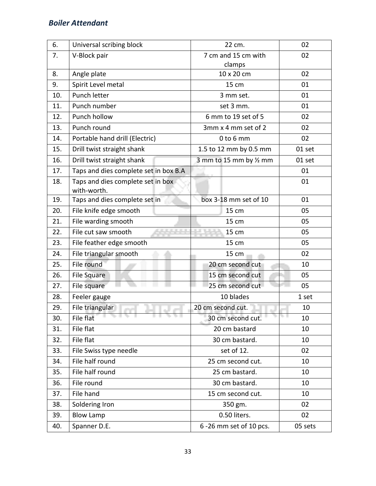| 6.  | Universal scribing block                         | 22 cm.                        | 02         |  |
|-----|--------------------------------------------------|-------------------------------|------------|--|
| 7.  | V-Block pair                                     | 7 cm and 15 cm with<br>clamps | 02         |  |
| 8.  | Angle plate                                      | 10 x 20 cm                    | 02         |  |
| 9.  | Spirit Level metal                               | 15 cm                         | 01         |  |
| 10. | Punch letter                                     | 3 mm set.                     | 01         |  |
| 11. | Punch number                                     | set 3 mm.                     | 01         |  |
| 12. | Punch hollow                                     | 6 mm to 19 set of 5           | 02         |  |
| 13. | Punch round                                      | 3mm x 4 mm set of 2           | 02         |  |
| 14. | Portable hand drill (Electric)                   | $0$ to $6$ mm                 | 02         |  |
| 15. | Drill twist straight shank                       | 1.5 to 12 mm by 0.5 mm        | 01 set     |  |
| 16. | Drill twist straight shank                       | 3 mm to 15 mm by 1/2 mm       | 01 set     |  |
| 17. | Taps and dies complete set in box B.A            |                               | 01         |  |
| 18. | Taps and dies complete set in box<br>with-worth. |                               | 01         |  |
| 19. | Taps and dies complete set in                    | box 3-18 mm set of 10         | 01         |  |
| 20. | File knife edge smooth                           | 15 cm                         | 05         |  |
| 21. | File warding smooth                              | 15 cm                         | 05         |  |
| 22. | <b>CALLA</b><br>File cut saw smooth              | 15 cm                         | 05         |  |
| 23. | File feather edge smooth                         | 15 cm                         | 05         |  |
| 24. | File triangular smooth                           | 15 cm                         | 02         |  |
| 25. | File round                                       | 20 cm second cut              | 10         |  |
| 26. | <b>File Square</b>                               | 15 cm second cut              | 05         |  |
| 27. | File square                                      | 25 cm second cut              | 05         |  |
| 28. | Feeler gauge                                     | 10 blades                     | 1 set      |  |
| 29. | File triangular                                  | 20 cm second cut.             | 10         |  |
| 30. | File flat                                        | 30 cm second cut.<br>51       | 79 L<br>10 |  |
| 31. | File flat                                        | 20 cm bastard                 | 10         |  |
| 32. | File flat                                        | 30 cm bastard.                | 10         |  |
| 33. | File Swiss type needle                           | set of 12.                    | 02         |  |
| 34. | File half round                                  | 25 cm second cut.             | 10         |  |
| 35. | File half round                                  | 25 cm bastard.                | 10         |  |
| 36. | File round                                       | 30 cm bastard.                | 10         |  |
| 37. | File hand                                        | 15 cm second cut.             | 10         |  |
| 38. | Soldering Iron                                   | 350 gm.                       | 02         |  |
| 39. | <b>Blow Lamp</b>                                 | 0.50 liters.                  | 02         |  |
| 40. | Spanner D.E.                                     | 6 -26 mm set of 10 pcs.       | 05 sets    |  |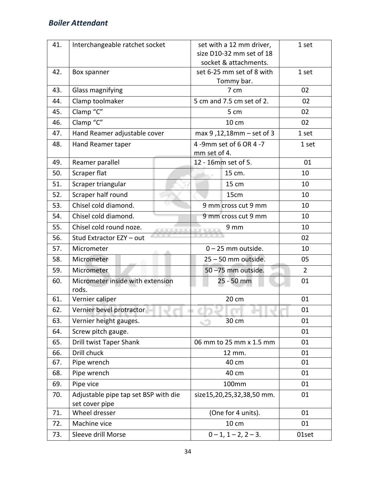| 41. | Interchangeable ratchet socket                         | set with a 12 mm driver,<br>size D10-32 mm set of 18<br>socket & attachments. | 1 set          |
|-----|--------------------------------------------------------|-------------------------------------------------------------------------------|----------------|
| 42. | Box spanner                                            | set 6-25 mm set of 8 with<br>Tommy bar.                                       | 1 set          |
| 43. | Glass magnifying                                       | 7 cm                                                                          | 02             |
| 44. | Clamp toolmaker                                        | 5 cm and 7.5 cm set of 2.                                                     | 02             |
| 45. | Clamp "C"                                              | 5 cm                                                                          | 02             |
| 46. | Clamp "C"                                              | 10 cm                                                                         | 02             |
| 47. | Hand Reamer adjustable cover                           | max 9, 12, 18mm - set of 3                                                    | 1 set          |
| 48. | Hand Reamer taper                                      | 4 -9mm set of 6 OR 4 -7<br>mm set of 4.                                       | 1 set          |
| 49. | Reamer parallel                                        | 12 - 16mm set of 5.                                                           | 01             |
| 50. | Scraper flat                                           | 15 cm.                                                                        | 10             |
| 51. | Scraper triangular                                     | 15 cm                                                                         | 10             |
| 52. | Scraper half round                                     | 15cm                                                                          | 10             |
| 53. | Chisel cold diamond.                                   | 9 mm cross cut 9 mm                                                           | 10             |
| 54. | Chisel cold diamond.                                   | 9 mm cross cut 9 mm                                                           | 10             |
| 55. | Chisel cold round noze.<br><b>.</b>                    | 9 mm                                                                          | 10             |
| 56. | Stud Extractor EZY - out                               |                                                                               | 02             |
| 57. | Micrometer                                             | $0 - 25$ mm outside.                                                          | 10             |
| 58. | Micrometer                                             | 25 - 50 mm outside.                                                           | 05             |
| 59. | Micrometer                                             | 50-75 mm outside.                                                             | $\overline{2}$ |
| 60. | Micrometer inside with extension<br>rods.              | 25 - 50 mm                                                                    | 01             |
| 61. | Vernier caliper                                        | 20 cm                                                                         | 01             |
| 62. | Vernier bevel protractor                               |                                                                               | 01             |
| 63. | Vernier height gauges.                                 | 30 cm<br>$\mathcal{L}(\mathcal{D})$                                           | 01             |
| 64. | Screw pitch gauge.                                     |                                                                               | 01             |
| 65. | Drill twist Taper Shank                                | 06 mm to 25 mm x 1.5 mm                                                       | 01             |
| 66. | Drill chuck                                            | 12 mm.                                                                        | 01             |
| 67. | Pipe wrench                                            | 40 cm                                                                         | 01             |
| 68. | Pipe wrench                                            | 40 cm                                                                         | 01             |
| 69. | Pipe vice                                              | 100mm                                                                         | 01             |
| 70. | Adjustable pipe tap set BSP with die<br>set cover pipe | size15,20,25,32,38,50 mm.                                                     | 01             |
| 71. | Wheel dresser                                          | (One for 4 units).                                                            | 01             |
| 72. | Machine vice                                           | 10 cm                                                                         | 01             |
| 73. | Sleeve drill Morse                                     | $0 - 1$ , $1 - 2$ , $2 - 3$ .                                                 | 01set          |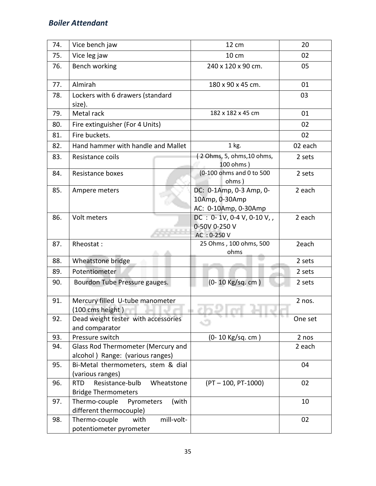| 74. | Vice bench jaw                                                            | 12 cm                                                                       | 20                |  |  |  |
|-----|---------------------------------------------------------------------------|-----------------------------------------------------------------------------|-------------------|--|--|--|
| 75. | Vice leg jaw                                                              | 10 cm                                                                       | 02                |  |  |  |
| 76. | <b>Bench working</b>                                                      | 240 x 120 x 90 cm.                                                          | 05                |  |  |  |
| 77. | Almirah                                                                   | 180 x 90 x 45 cm.                                                           | 01                |  |  |  |
| 78. | Lockers with 6 drawers (standard<br>size).                                |                                                                             | 03                |  |  |  |
| 79. | Metal rack                                                                | 182 x 182 x 45 cm                                                           | 01                |  |  |  |
| 80. | Fire extinguisher (For 4 Units)                                           |                                                                             | 02                |  |  |  |
| 81. | Fire buckets.                                                             |                                                                             | 02                |  |  |  |
| 82. | Hand hammer with handle and Mallet                                        | $1$ kg.                                                                     | 02 each           |  |  |  |
| 83. | Resistance coils                                                          | (2 Ohms, 5, ohms, 10 ohms,<br>100 ohms)                                     | 2 sets            |  |  |  |
| 84. | <b>Resistance boxes</b>                                                   | (0-100 ohms and 0 to 500<br>ohms)                                           | 2 sets            |  |  |  |
| 85. | Ampere meters                                                             | DC: 0-1Amp, 0-3 Amp, 0-<br>10Amp, 0-30Amp<br>AC: 0-10Amp, 0-30Amp           | 2 each            |  |  |  |
| 86. | Volt meters                                                               | $DC : 0 - 1V, 0 - 4 V, 0 - 10 V,$<br>2 each<br>0-50V 0-250 V<br>AC: 0-250 V |                   |  |  |  |
| 87. | Rheostat:                                                                 | 25 Ohms, 100 ohms, 500<br>ohms                                              | 2each             |  |  |  |
| 88. | Wheatstone bridge                                                         |                                                                             | 2 sets            |  |  |  |
| 89. | Potentiometer                                                             |                                                                             | 2 sets            |  |  |  |
| 90. | Bourdon Tube Pressure gauges.                                             | (0-10 Kg/sq. cm)                                                            | 2 sets            |  |  |  |
| 91. | Mercury filled U-tube manometer<br>(100 cms height)                       |                                                                             | 2 nos.            |  |  |  |
| 92. | Dead weight tester with accessories<br>and comparator                     |                                                                             | The La<br>One set |  |  |  |
| 93. | Pressure switch                                                           | (0-10 Kg/sq. cm)                                                            | 2 nos             |  |  |  |
| 94. | Glass Rod Thermometer (Mercury and<br>alcohol) Range: (various ranges)    |                                                                             | 2 each            |  |  |  |
| 95. | Bi-Metal thermometers, stem & dial<br>(various ranges)                    |                                                                             | 04                |  |  |  |
| 96. | <b>RTD</b><br>Resistance-bulb<br>Wheatstone<br><b>Bridge Thermometers</b> | $(PT - 100, PT - 1000)$                                                     | 02                |  |  |  |
| 97. | Thermo-couple<br>(with<br>Pyrometers<br>different thermocouple)           |                                                                             | 10                |  |  |  |
| 98. | mill-volt-<br>Thermo-couple<br>with<br>potentiometer pyrometer            |                                                                             | 02                |  |  |  |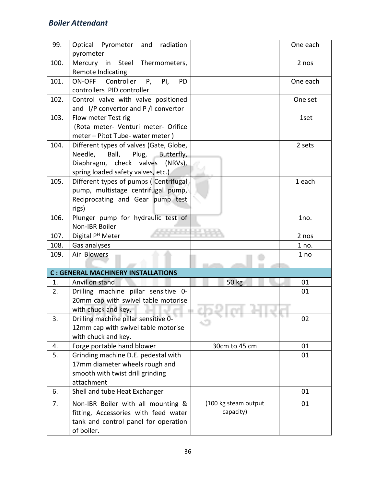| 99.  | Optical Pyrometer and<br>radiation          |                      | One each |
|------|---------------------------------------------|----------------------|----------|
|      | pyrometer                                   |                      |          |
| 100. | Mercury in Steel Thermometers,              |                      | 2 nos    |
|      | Remote Indicating                           |                      |          |
| 101. | Controller P,<br>ON-OFF<br>PI,<br><b>PD</b> |                      | One each |
|      | controllers PID controller                  |                      |          |
| 102. | Control valve with valve positioned         |                      | One set  |
|      | and I/P convertor and P /I convertor        |                      |          |
| 103. | Flow meter Test rig                         |                      | 1set     |
|      | (Rota meter- Venturi meter- Orifice         |                      |          |
|      | meter - Pitot Tube- water meter)            |                      |          |
| 104. | Different types of valves (Gate, Globe,     |                      | 2 sets   |
|      | Needle,<br>Ball,<br>Plug,<br>Butterfly,     |                      |          |
|      | Diaphragm, check valves (NRVs),             |                      |          |
|      | spring loaded safety valves, etc.)          |                      |          |
| 105. | Different types of pumps (Centrifugal       |                      | 1 each   |
|      | pump, multistage centrifugal pump,          |                      |          |
|      | Reciprocating and Gear pump test            |                      |          |
|      | rigs)                                       |                      |          |
| 106. | Plunger pump for hydraulic test of          |                      | 1no.     |
|      | Non-IBR Boiler                              |                      |          |
| 107. | Digital P <sup>H</sup> Meter                |                      | 2 nos    |
| 108. | Gas analyses                                |                      | 1 no.    |
| 109. | Air Blowers                                 |                      | 1 no     |
|      |                                             |                      |          |
|      | <b>C: GENERAL MACHINERY INSTALLATIONS</b>   |                      |          |
| 1.   | Anvil on stand                              | 50 kg                | 01       |
| 2.   | Drilling machine pillar sensitive 0-        |                      | 01       |
|      | 20mm cap with swivel table motorise         |                      |          |
|      | with chuck and key.                         |                      | n i      |
| 3.   | Drilling machine pillar sensitive 0-        |                      | 02       |
|      | 12mm cap with swivel table motorise         |                      |          |
|      | with chuck and key.                         |                      |          |
| 4.   | Forge portable hand blower                  | 30cm to 45 cm        | 01       |
| 5.   | Grinding machine D.E. pedestal with         |                      | 01       |
|      | 17mm diameter wheels rough and              |                      |          |
|      | smooth with twist drill grinding            |                      |          |
|      | attachment                                  |                      |          |
| 6.   | Shell and tube Heat Exchanger               |                      | 01       |
| 7.   | Non-IBR Boiler with all mounting &          | (100 kg steam output | 01       |
|      | fitting, Accessories with feed water        | capacity)            |          |
|      | tank and control panel for operation        |                      |          |
|      | of boiler.                                  |                      |          |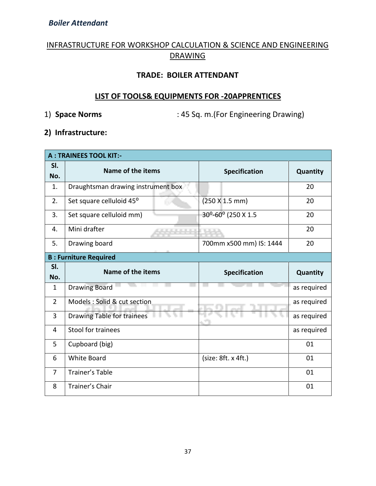#### INFRASTRUCTURE FOR WORKSHOP CALCULATION & SCIENCE AND ENGINEERING DRAWING

#### **TRADE: BOILER ATTENDANT**

#### **LIST OF TOOLS& EQUIPMENTS FOR -20APPRENTICES**

1) **Space Norms** : 45 Sq. m.(For Engineering Drawing)

#### **2) Infrastructure:**

|                | <b>A: TRAINEES TOOL KIT:-</b>      |                         |             |  |
|----------------|------------------------------------|-------------------------|-------------|--|
| SI.<br>No.     | Name of the items                  | <b>Specification</b>    | Quantity    |  |
| 1.             | Draughtsman drawing instrument box |                         | 20          |  |
| 2.             | Set square celluloid 45°           | (250 X 1.5 mm)          | 20          |  |
| 3.             | Set square celluloid mm)           | 30°-60° (250 X 1.5      | 20          |  |
| 4.             | Mini drafter                       |                         | 20          |  |
| 5.             | Drawing board                      | 700mm x500 mm) IS: 1444 | 20          |  |
|                | <b>B: Furniture Required</b>       |                         |             |  |
| SI.            | Name of the items                  | <b>Specification</b>    | Quantity    |  |
|                |                                    |                         |             |  |
| No.            |                                    |                         |             |  |
| $\mathbf{1}$   | <b>Drawing Board</b>               |                         | as required |  |
| $\overline{2}$ | Models : Solid & cut section       |                         | as required |  |
| 3              | <b>Drawing Table for trainees</b>  |                         | as required |  |
| 4              | Stool for trainees                 |                         | as required |  |
| 5              | Cupboard (big)                     |                         | 01          |  |
| 6              | <b>White Board</b>                 | (size: 8ft. x 4ft.)     | 01          |  |
| $\overline{7}$ | <b>Trainer's Table</b>             |                         | 01          |  |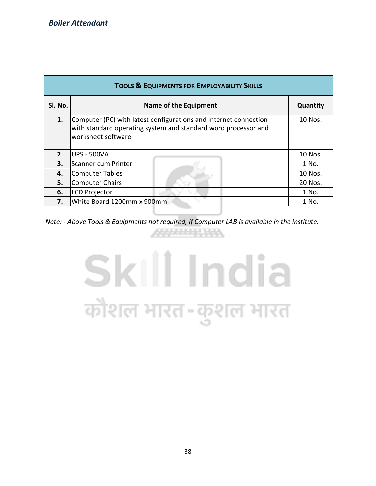| <b>TOOLS &amp; EQUIPMENTS FOR EMPLOYABILITY SKILLS</b> |                                                                                                                                                          |         |  |  |  |  |  |  |  |  |
|--------------------------------------------------------|----------------------------------------------------------------------------------------------------------------------------------------------------------|---------|--|--|--|--|--|--|--|--|
| Sl. No.                                                | Quantity<br><b>Name of the Equipment</b>                                                                                                                 |         |  |  |  |  |  |  |  |  |
| 1.                                                     | Computer (PC) with latest configurations and Internet connection<br>with standard operating system and standard word processor and<br>worksheet software | 10 Nos. |  |  |  |  |  |  |  |  |
| 2.                                                     | <b>UPS - 500VA</b>                                                                                                                                       | 10 Nos. |  |  |  |  |  |  |  |  |
| 3.                                                     | Scanner cum Printer                                                                                                                                      | 1 No.   |  |  |  |  |  |  |  |  |
| 4.                                                     | <b>Computer Tables</b>                                                                                                                                   | 10 Nos. |  |  |  |  |  |  |  |  |
| 5.                                                     | <b>Computer Chairs</b>                                                                                                                                   | 20 Nos. |  |  |  |  |  |  |  |  |
| 6.                                                     | <b>LCD Projector</b>                                                                                                                                     | 1 No.   |  |  |  |  |  |  |  |  |
| 7.                                                     | White Board 1200mm x 900mm                                                                                                                               | 1 No.   |  |  |  |  |  |  |  |  |
|                                                        | $\vert$ Note: - Above Tools & Equipments not required, if Computer LAB is available in the institute.                                                    |         |  |  |  |  |  |  |  |  |

# Skill India कौशल भारत-कुशल भारत